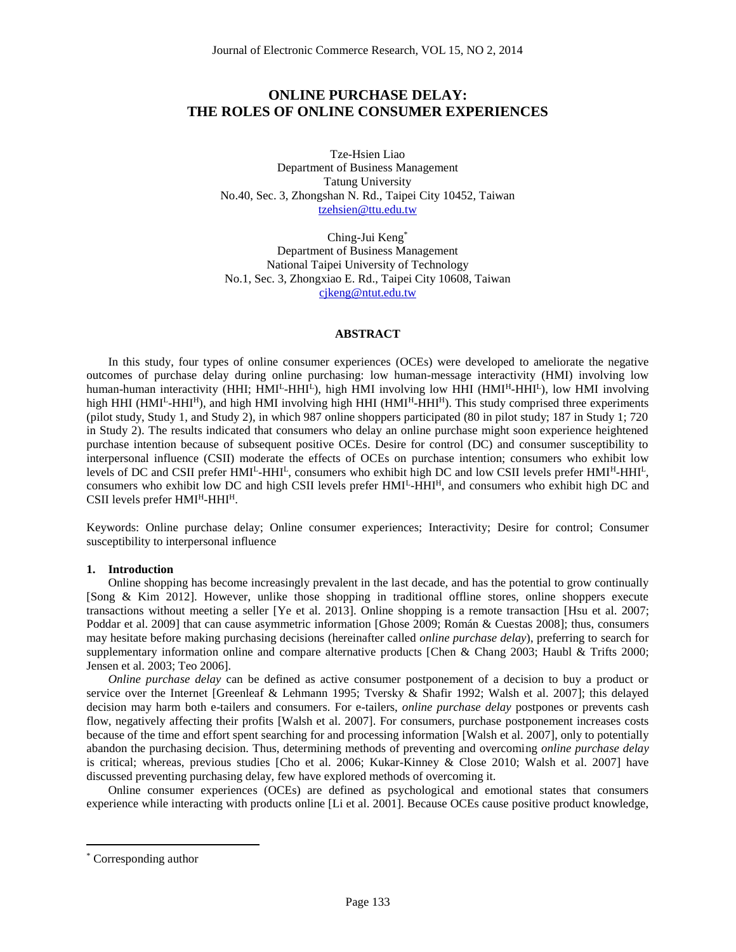# **ONLINE PURCHASE DELAY: THE ROLES OF ONLINE CONSUMER EXPERIENCES**

Tze-Hsien Liao Department of Business Management Tatung University No.40, Sec. 3, Zhongshan N. Rd., Taipei City 10452, Taiwan [tzehsien@ttu.edu.tw](mailto:tzehsien@ttu.edu.tw)

Ching-Jui Keng\* Department of Business Management National Taipei University of Technology No.1, Sec. 3, Zhongxiao E. Rd., Taipei City 10608, Taiwan [cjkeng@ntut.edu.tw](mailto:cjkeng@ntut.edu.tw)

## **ABSTRACT**

In this study, four types of online consumer experiences (OCEs) were developed to ameliorate the negative outcomes of purchase delay during online purchasing: low human-message interactivity (HMI) involving low human-human interactivity (HHI; HMI<sup>L</sup>-HHI<sup>L</sup>), high HMI involving low HHI (HMI<sup>H</sup>-HHI<sup>L</sup>), low HMI involving high HHI (HMI<sup>L</sup>-HHI<sup>H</sup>), and high HMI involving high HHI (HMI<sup>H</sup>-HHI<sup>H</sup>). This study comprised three experiments (pilot study, Study 1, and Study 2), in which 987 online shoppers participated (80 in pilot study; 187 in Study 1; 720 in Study 2). The results indicated that consumers who delay an online purchase might soon experience heightened purchase intention because of subsequent positive OCEs. Desire for control (DC) and consumer susceptibility to interpersonal influence (CSII) moderate the effects of OCEs on purchase intention; consumers who exhibit low levels of DC and CSII prefer HMI<sup>L</sup>-HHI<sup>L</sup>, consumers who exhibit high DC and low CSII levels prefer HMI<sup>H</sup>-HHI<sup>L</sup>, consumers who exhibit low DC and high CSII levels prefer HMI<sup>L</sup>-HHI<sup>H</sup>, and consumers who exhibit high DC and  $CSII$  levels prefer  $HMI<sup>H</sup>-HHI<sup>H</sup>$ .

Keywords: Online purchase delay; Online consumer experiences; Interactivity; Desire for control; Consumer susceptibility to interpersonal influence

## **1. Introduction**

Online shopping has become increasingly prevalent in the last decade, and has the potential to grow continually [Song & Kim 2012]. However, unlike those shopping in traditional offline stores, online shoppers execute transactions without meeting a seller [Ye et al. 2013]. Online shopping is a remote transaction [Hsu et al. 2007; Poddar et al. 2009] that can cause asymmetric information [Ghose 2009; Román & Cuestas 2008]; thus, consumers may hesitate before making purchasing decisions (hereinafter called *online purchase delay*), preferring to search for supplementary information online and compare alternative products [Chen & Chang 2003; Haubl & Trifts 2000; Jensen et al. 2003; Teo 2006].

*Online purchase delay* can be defined as active consumer postponement of a decision to buy a product or service over the Internet [Greenleaf & Lehmann 1995; Tversky & Shafir 1992; Walsh et al. 2007]; this delayed decision may harm both e-tailers and consumers. For e-tailers, *online purchase delay* postpones or prevents cash flow, negatively affecting their profits [Walsh et al. 2007]. For consumers, purchase postponement increases costs because of the time and effort spent searching for and processing information [Walsh et al. 2007], only to potentially abandon the purchasing decision. Thus, determining methods of preventing and overcoming *online purchase delay* is critical; whereas, previous studies [Cho et al. 2006; Kukar-Kinney & Close 2010; Walsh et al. 2007] have discussed preventing purchasing delay, few have explored methods of overcoming it.

Online consumer experiences (OCEs) are defined as psychological and emotional states that consumers experience while interacting with products online [Li et al. 2001]. Because OCEs cause positive product knowledge,

 $\overline{a}$ 

<sup>\*</sup> Corresponding author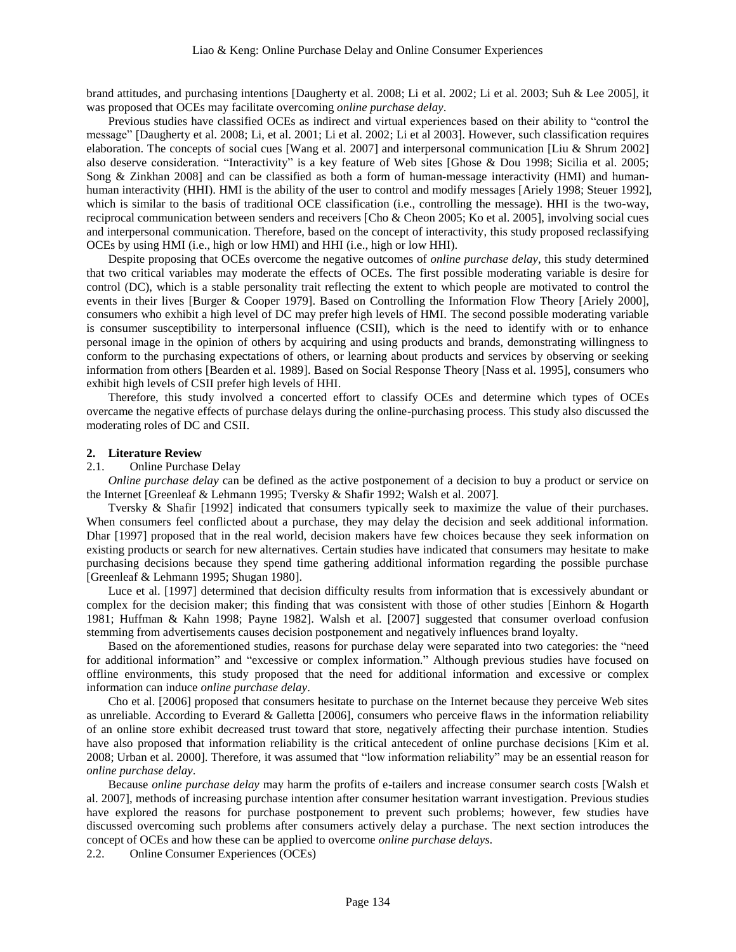brand attitudes, and purchasing intentions [Daugherty et al. 2008; Li et al. 2002; Li et al. 2003; Suh & Lee 2005], it was proposed that OCEs may facilitate overcoming *online purchase delay*.

Previous studies have classified OCEs as indirect and virtual experiences based on their ability to "control the message" [Daugherty et al. 2008; Li, et al. 2001; Li et al. 2002; Li et al 2003]. However, such classification requires elaboration. The concepts of social cues [Wang et al. 2007] and interpersonal communication [Liu & Shrum 2002] also deserve consideration. "Interactivity" is a key feature of Web sites [Ghose & Dou 1998; Sicilia et al. 2005; Song & Zinkhan 2008] and can be classified as both a form of human-message interactivity (HMI) and humanhuman interactivity (HHI). HMI is the ability of the user to control and modify messages [Ariely 1998; Steuer 1992], which is similar to the basis of traditional OCE classification (i.e., controlling the message). HHI is the two-way, reciprocal communication between senders and receivers [Cho & Cheon 2005; Ko et al. 2005], involving social cues and interpersonal communication. Therefore, based on the concept of interactivity, this study proposed reclassifying OCEs by using HMI (i.e., high or low HMI) and HHI (i.e., high or low HHI).

Despite proposing that OCEs overcome the negative outcomes of *online purchase delay*, this study determined that two critical variables may moderate the effects of OCEs. The first possible moderating variable is desire for control (DC), which is a stable personality trait reflecting the extent to which people are motivated to control the events in their lives [Burger & Cooper 1979]. Based on Controlling the Information Flow Theory [Ariely 2000], consumers who exhibit a high level of DC may prefer high levels of HMI. The second possible moderating variable is consumer susceptibility to interpersonal influence (CSII), which is the need to identify with or to enhance personal image in the opinion of others by acquiring and using products and brands, demonstrating willingness to conform to the purchasing expectations of others, or learning about products and services by observing or seeking information from others [Bearden et al. 1989]. Based on Social Response Theory [Nass et al. 1995], consumers who exhibit high levels of CSII prefer high levels of HHI.

Therefore, this study involved a concerted effort to classify OCEs and determine which types of OCEs overcame the negative effects of purchase delays during the online-purchasing process. This study also discussed the moderating roles of DC and CSII.

#### **2. Literature Review**

### 2.1. Online Purchase Delay

*Online purchase delay* can be defined as the active postponement of a decision to buy a product or service on the Internet [Greenleaf & Lehmann 1995; Tversky & Shafir 1992; Walsh et al. 2007].

Tversky & Shafir [1992] indicated that consumers typically seek to maximize the value of their purchases. When consumers feel conflicted about a purchase, they may delay the decision and seek additional information. Dhar [1997] proposed that in the real world, decision makers have few choices because they seek information on existing products or search for new alternatives. Certain studies have indicated that consumers may hesitate to make purchasing decisions because they spend time gathering additional information regarding the possible purchase [Greenleaf & Lehmann 1995; Shugan 1980].

Luce et al. [1997] determined that decision difficulty results from information that is excessively abundant or complex for the decision maker; this finding that was consistent with those of other studies [Einhorn & Hogarth 1981; Huffman & Kahn 1998; Payne 1982]. Walsh et al. [2007] suggested that consumer overload confusion stemming from advertisements causes decision postponement and negatively influences brand loyalty.

Based on the aforementioned studies, reasons for purchase delay were separated into two categories: the "need for additional information" and "excessive or complex information." Although previous studies have focused on offline environments, this study proposed that the need for additional information and excessive or complex information can induce *online purchase delay*.

Cho et al. [2006] proposed that consumers hesitate to purchase on the Internet because they perceive Web sites as unreliable. According to Everard & Galletta  $[2006]$ , consumers who perceive flaws in the information reliability of an online store exhibit decreased trust toward that store, negatively affecting their purchase intention. Studies have also proposed that information reliability is the critical antecedent of online purchase decisions [Kim et al. 2008; Urban et al. 2000]. Therefore, it was assumed that "low information reliability" may be an essential reason for *online purchase delay*.

Because *online purchase delay* may harm the profits of e-tailers and increase consumer search costs [Walsh et al. 2007], methods of increasing purchase intention after consumer hesitation warrant investigation. Previous studies have explored the reasons for purchase postponement to prevent such problems; however, few studies have discussed overcoming such problems after consumers actively delay a purchase. The next section introduces the concept of OCEs and how these can be applied to overcome *online purchase delays*.

2.2. Online Consumer Experiences (OCEs)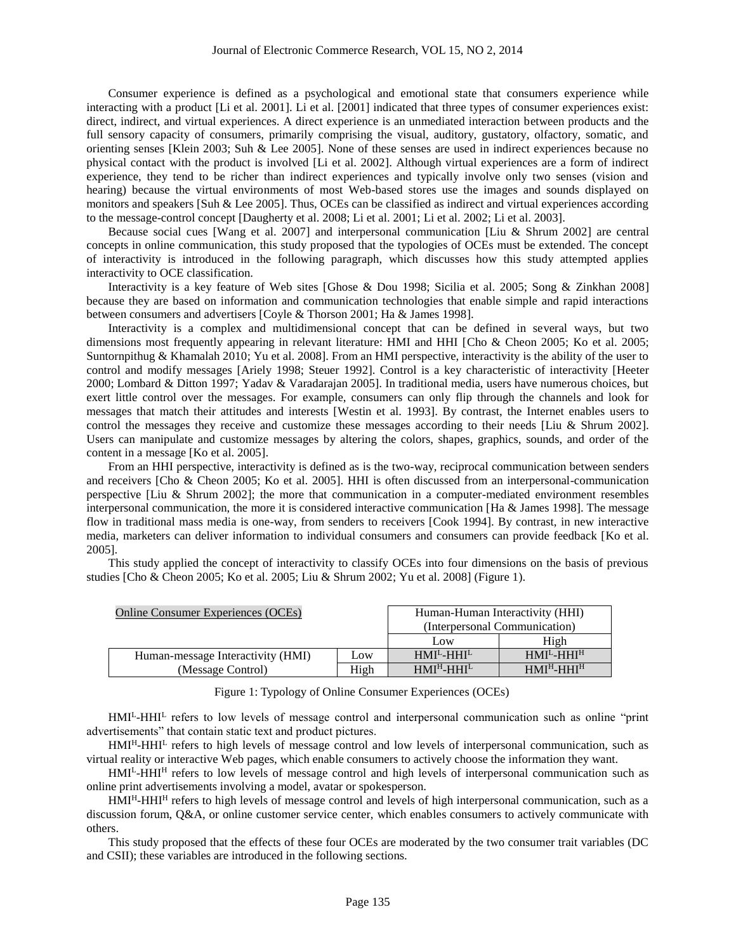Consumer experience is defined as a psychological and emotional state that consumers experience while interacting with a product [Li et al. 2001]. Li et al. [2001] indicated that three types of consumer experiences exist: direct, indirect, and virtual experiences. A direct experience is an unmediated interaction between products and the full sensory capacity of consumers, primarily comprising the visual, auditory, gustatory, olfactory, somatic, and orienting senses [Klein 2003; Suh & Lee 2005]. None of these senses are used in indirect experiences because no physical contact with the product is involved [Li et al. 2002]. Although virtual experiences are a form of indirect experience, they tend to be richer than indirect experiences and typically involve only two senses (vision and hearing) because the virtual environments of most Web-based stores use the images and sounds displayed on monitors and speakers [Suh & Lee 2005]. Thus, OCEs can be classified as indirect and virtual experiences according to the message-control concept [Daugherty et al. 2008; Li et al. 2001; Li et al. 2002; Li et al. 2003].

Because social cues [Wang et al. 2007] and interpersonal communication [Liu & Shrum 2002] are central concepts in online communication, this study proposed that the typologies of OCEs must be extended. The concept of interactivity is introduced in the following paragraph, which discusses how this study attempted applies interactivity to OCE classification.

Interactivity is a key feature of Web sites [Ghose & Dou 1998; Sicilia et al. 2005; Song & Zinkhan 2008] because they are based on information and communication technologies that enable simple and rapid interactions between consumers and advertisers [Coyle & Thorson 2001; Ha & James 1998].

Interactivity is a complex and multidimensional concept that can be defined in several ways, but two dimensions most frequently appearing in relevant literature: HMI and HHI [Cho & Cheon 2005; Ko et al. 2005; Suntornpithug & Khamalah 2010; Yu et al. 2008]. From an HMI perspective, interactivity is the ability of the user to control and modify messages [Ariely 1998; Steuer 1992]. Control is a key characteristic of interactivity [Heeter 2000; Lombard & Ditton 1997; Yadav & Varadarajan 2005]. In traditional media, users have numerous choices, but exert little control over the messages. For example, consumers can only flip through the channels and look for messages that match their attitudes and interests [Westin et al. 1993]. By contrast, the Internet enables users to control the messages they receive and customize these messages according to their needs [Liu & Shrum 2002]. Users can manipulate and customize messages by altering the colors, shapes, graphics, sounds, and order of the content in a message [Ko et al. 2005].

From an HHI perspective, interactivity is defined as is the two-way, reciprocal communication between senders and receivers [Cho & Cheon 2005; Ko et al. 2005]. HHI is often discussed from an interpersonal-communication perspective [Liu & Shrum 2002]; the more that communication in a computer-mediated environment resembles interpersonal communication, the more it is considered interactive communication [Ha & James 1998]. The message flow in traditional mass media is one-way, from senders to receivers [Cook 1994]. By contrast, in new interactive media, marketers can deliver information to individual consumers and consumers can provide feedback [Ko et al. 2005].

This study applied the concept of interactivity to classify OCEs into four dimensions on the basis of previous studies [Cho & Cheon 2005; Ko et al. 2005; Liu & Shrum 2002; Yu et al. 2008] (Figure 1).

| <b>Online Consumer Experiences (OCEs)</b> | Human-Human Interactivity (HHI) |             |             |  |
|-------------------------------------------|---------------------------------|-------------|-------------|--|
|                                           | (Interpersonal Communication)   |             |             |  |
|                                           |                                 | Low         | High        |  |
| Human-message Interactivity (HMI)         | Low                             | $HMIL-HHIL$ | $HMIL-HHIH$ |  |
| (Message Control)                         | $HMIH-HHIL$                     | $HMIH-HHIH$ |             |  |

Figure 1: Typology of Online Consumer Experiences (OCEs)

HMI<sup>L</sup>-HHI<sup>L</sup> refers to low levels of message control and interpersonal communication such as online "print advertisements" that contain static text and product pictures.

HMI<sup>H</sup>-HHI<sup>L</sup> refers to high levels of message control and low levels of interpersonal communication, such as virtual reality or interactive Web pages, which enable consumers to actively choose the information they want.

HMI<sup>L</sup>-HHI<sup>H</sup> refers to low levels of message control and high levels of interpersonal communication such as online print advertisements involving a model, avatar or spokesperson.

HMI<sup>H</sup>-HHI<sup>H</sup> refers to high levels of message control and levels of high interpersonal communication, such as a discussion forum, Q&A, or online customer service center, which enables consumers to actively communicate with others.

This study proposed that the effects of these four OCEs are moderated by the two consumer trait variables (DC and CSII); these variables are introduced in the following sections.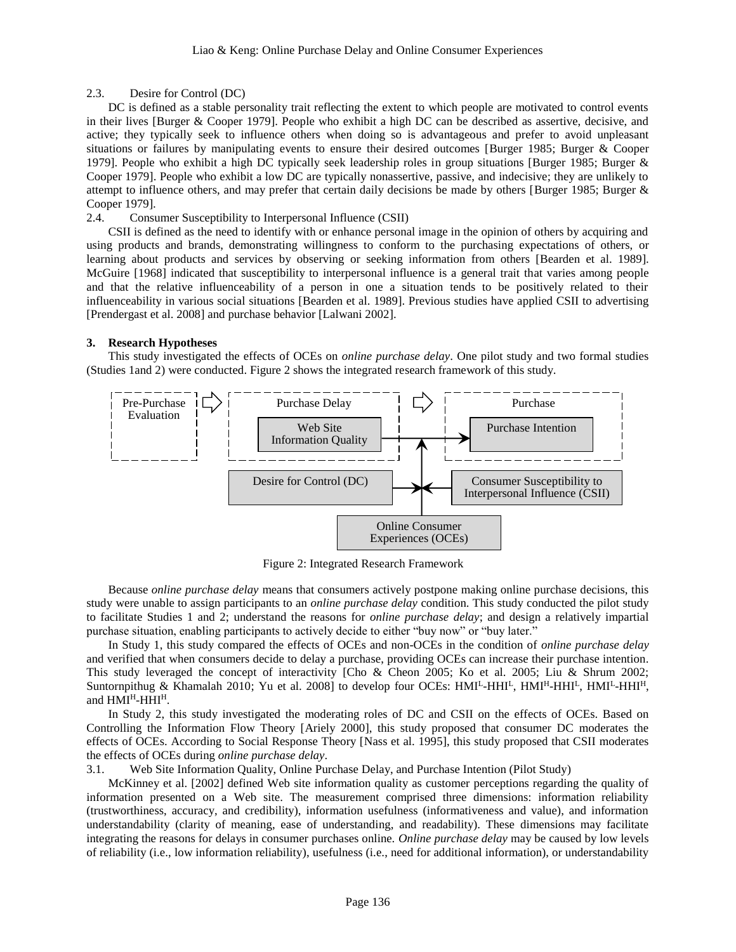## 2.3. Desire for Control (DC)

DC is defined as a stable personality trait reflecting the extent to which people are motivated to control events in their lives [Burger & Cooper 1979]. People who exhibit a high DC can be described as assertive, decisive, and active; they typically seek to influence others when doing so is advantageous and prefer to avoid unpleasant situations or failures by manipulating events to ensure their desired outcomes [Burger 1985; Burger & Cooper 1979]. People who exhibit a high DC typically seek leadership roles in group situations [Burger 1985; Burger & Cooper 1979]. People who exhibit a low DC are typically nonassertive, passive, and indecisive; they are unlikely to attempt to influence others, and may prefer that certain daily decisions be made by others [Burger 1985; Burger & Cooper 1979].

## 2.4. Consumer Susceptibility to Interpersonal Influence (CSII)

CSII is defined as the need to identify with or enhance personal image in the opinion of others by acquiring and using products and brands, demonstrating willingness to conform to the purchasing expectations of others, or learning about products and services by observing or seeking information from others [Bearden et al. 1989]. McGuire [1968] indicated that susceptibility to interpersonal influence is a general trait that varies among people and that the relative influenceability of a person in one a situation tends to be positively related to their influenceability in various social situations [Bearden et al. 1989]. Previous studies have applied CSII to advertising [Prendergast et al. 2008] and purchase behavior [Lalwani 2002].

## **3. Research Hypotheses**

This study investigated the effects of OCEs on *online purchase delay*. One pilot study and two formal studies (Studies 1and 2) were conducted. Figure 2 shows the integrated research framework of this study.



Figure 2: Integrated Research Framework

Because *online purchase delay* means that consumers actively postpone making online purchase decisions, this study were unable to assign participants to an *online purchase delay* condition. This study conducted the pilot study to facilitate Studies 1 and 2; understand the reasons for *online purchase delay*; and design a relatively impartial purchase situation, enabling participants to actively decide to either "buy now" or "buy later."

In Study 1, this study compared the effects of OCEs and non-OCEs in the condition of *online purchase delay* and verified that when consumers decide to delay a purchase, providing OCEs can increase their purchase intention. This study leveraged the concept of interactivity [Cho & Cheon 2005; Ko et al. 2005; Liu & Shrum 2002; Suntornpithug & Khamalah 2010; Yu et al. 2008] to develop four OCEs:  $HMI<sup>L</sup>HHII<sup>L</sup>$ ,  $HMI<sup>H</sup>HHI<sup>L</sup>$ ,  $HMI<sup>L</sup>HHI<sup>H</sup>$ , and HMI<sup>H</sup>-HHI<sup>H</sup>.

In Study 2, this study investigated the moderating roles of DC and CSII on the effects of OCEs. Based on Controlling the Information Flow Theory [Ariely 2000], this study proposed that consumer DC moderates the effects of OCEs. According to Social Response Theory [Nass et al. 1995], this study proposed that CSII moderates the effects of OCEs during *online purchase delay*.

3.1. Web Site Information Quality, Online Purchase Delay, and Purchase Intention (Pilot Study)

McKinney et al. [2002] defined Web site information quality as customer perceptions regarding the quality of information presented on a Web site. The measurement comprised three dimensions: information reliability (trustworthiness, accuracy, and credibility), information usefulness (informativeness and value), and information understandability (clarity of meaning, ease of understanding, and readability). These dimensions may facilitate integrating the reasons for delays in consumer purchases online. *Online purchase delay* may be caused by low levels of reliability (i.e., low information reliability), usefulness (i.e., need for additional information), or understandability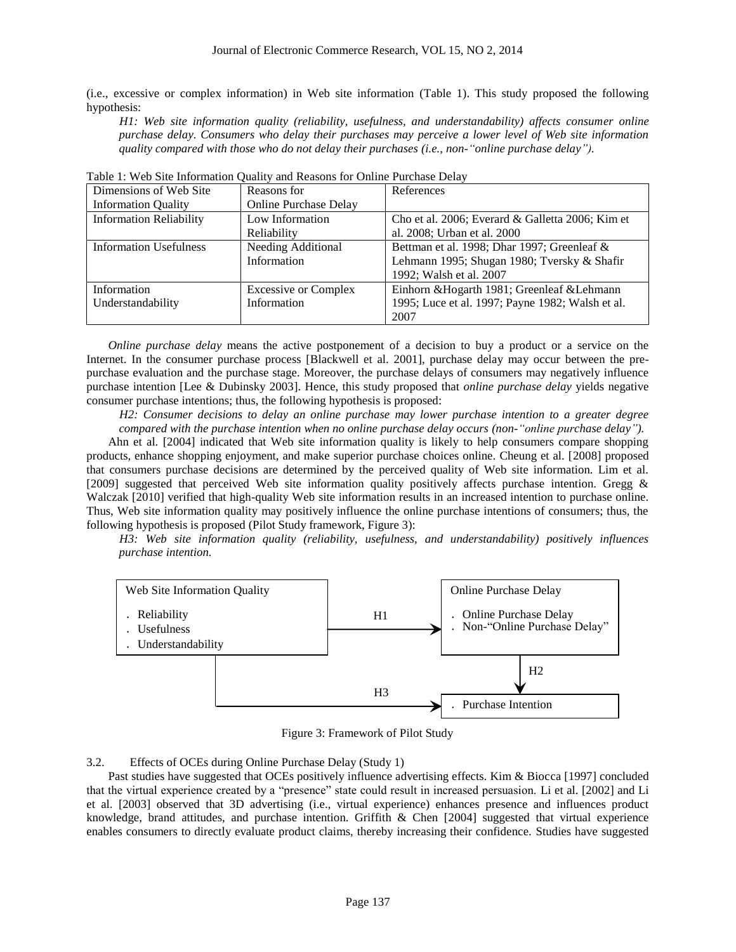(i.e., excessive or complex information) in Web site information (Table 1). This study proposed the following hypothesis:

*H1: Web site information quality (reliability, usefulness, and understandability) affects consumer online purchase delay. Consumers who delay their purchases may perceive a lower level of Web site information quality compared with those who do not delay their purchases (i.e., non-"online purchase delay").*

| Dimensions of Web Site         | Reasons for                  | References                                       |
|--------------------------------|------------------------------|--------------------------------------------------|
| <b>Information Quality</b>     | <b>Online Purchase Delay</b> |                                                  |
| <b>Information Reliability</b> | Low Information              | Cho et al. 2006; Everard & Galletta 2006; Kim et |
|                                | Reliability                  | al. 2008; Urban et al. 2000                      |
| <b>Information Usefulness</b>  | Needing Additional           | Bettman et al. 1998; Dhar 1997; Greenleaf &      |
|                                | Information                  | Lehmann 1995; Shugan 1980; Tversky & Shafir      |
|                                |                              | 1992; Walsh et al. 2007                          |
| Information                    | <b>Excessive or Complex</b>  | Einhorn & Hogarth 1981; Greenleaf & Lehmann      |
| Understandability              | Information                  | 1995; Luce et al. 1997; Payne 1982; Walsh et al. |
|                                |                              | 2007                                             |

Table 1: Web Site Information Quality and Reasons for Online Purchase Delay

*Online purchase delay* means the active postponement of a decision to buy a product or a service on the Internet. In the consumer purchase process [Blackwell et al. 2001], purchase delay may occur between the prepurchase evaluation and the purchase stage. Moreover, the purchase delays of consumers may negatively influence purchase intention [Lee & Dubinsky 2003]. Hence, this study proposed that *online purchase delay* yields negative consumer purchase intentions; thus, the following hypothesis is proposed:

*H2: Consumer decisions to delay an online purchase may lower purchase intention to a greater degree compared with the purchase intention when no online purchase delay occurs (non-"online purchase delay").*

Ahn et al. [2004] indicated that Web site information quality is likely to help consumers compare shopping products, enhance shopping enjoyment, and make superior purchase choices online. Cheung et al. [2008] proposed that consumers purchase decisions are determined by the perceived quality of Web site information. Lim et al. [2009] suggested that perceived Web site information quality positively affects purchase intention. Gregg & Walczak [2010] verified that high-quality Web site information results in an increased intention to purchase online. Thus, Web site information quality may positively influence the online purchase intentions of consumers; thus, the following hypothesis is proposed (Pilot Study framework, Figure 3):

*H3: Web site information quality (reliability, usefulness, and understandability) positively influences purchase intention.* 



Figure 3: Framework of Pilot Study

## 3.2. Effects of OCEs during Online Purchase Delay (Study 1)

Past studies have suggested that OCEs positively influence advertising effects. Kim & Biocca [1997] concluded that the virtual experience created by a "presence" state could result in increased persuasion. Li et al. [2002] and Li et al. [2003] observed that 3D advertising (i.e., virtual experience) enhances presence and influences product knowledge, brand attitudes, and purchase intention. Griffith & Chen [2004] suggested that virtual experience enables consumers to directly evaluate product claims, thereby increasing their confidence. Studies have suggested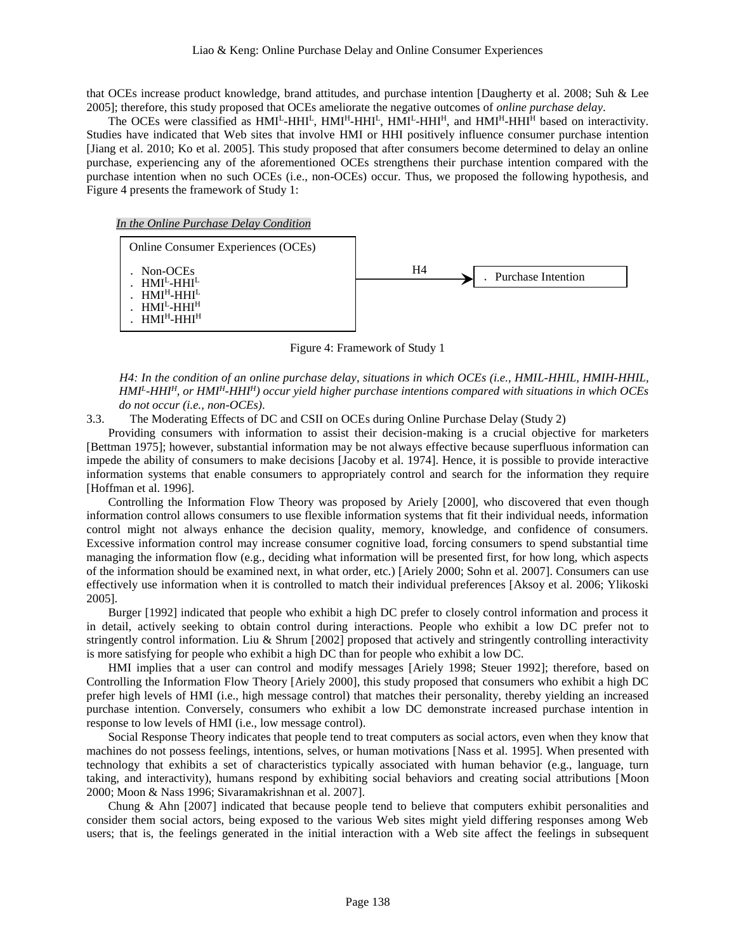that OCEs increase product knowledge, brand attitudes, and purchase intention [Daugherty et al. 2008; Suh & Lee 2005]; therefore, this study proposed that OCEs ameliorate the negative outcomes of *online purchase delay*.

The OCEs were classified as  $HMI<sup>L</sup>-HH<sup>L</sup>$ ,  $HMI<sup>H</sup>-HH<sup>H</sup>$ ,  $HMI<sup>L</sup>-HH<sup>H</sup>$ , and  $HMI<sup>H</sup>-HH<sup>H</sup>$  based on interactivity. Studies have indicated that Web sites that involve HMI or HHI positively influence consumer purchase intention [Jiang et al. 2010; Ko et al. 2005]. This study proposed that after consumers become determined to delay an online purchase, experiencing any of the aforementioned OCEs strengthens their purchase intention compared with the purchase intention when no such OCEs (i.e., non-OCEs) occur. Thus, we proposed the following hypothesis, and Figure 4 presents the framework of Study 1:

### *In the Online Purchase Delay Condition*



Figure 4: Framework of Study 1

*H4: In the condition of an online purchase delay, situations in which OCEs (i.e., HMIL-HHIL, HMIH-HHIL, HMI<sup>L</sup> -HHI<sup>H</sup>, or HMI<sup>H</sup>-HHI<sup>H</sup>) occur yield higher purchase intentions compared with situations in which OCEs do not occur (i.e., non-OCEs)*.

3.3. The Moderating Effects of DC and CSII on OCEs during Online Purchase Delay (Study 2)

Providing consumers with information to assist their decision-making is a crucial objective for marketers [Bettman 1975]; however, substantial information may be not always effective because superfluous information can impede the ability of consumers to make decisions [Jacoby et al. 1974]. Hence, it is possible to provide interactive information systems that enable consumers to appropriately control and search for the information they require [Hoffman et al. 1996].

Controlling the Information Flow Theory was proposed by Ariely [2000], who discovered that even though information control allows consumers to use flexible information systems that fit their individual needs, information control might not always enhance the decision quality, memory, knowledge, and confidence of consumers. Excessive information control may increase consumer cognitive load, forcing consumers to spend substantial time managing the information flow (e.g., deciding what information will be presented first, for how long, which aspects of the information should be examined next, in what order, etc.) [Ariely 2000; Sohn et al. 2007]. Consumers can use effectively use information when it is controlled to match their individual preferences [Aksoy et al. 2006; Ylikoski 2005].

Burger [1992] indicated that people who exhibit a high DC prefer to closely control information and process it in detail, actively seeking to obtain control during interactions. People who exhibit a low DC prefer not to stringently control information. Liu & Shrum [2002] proposed that actively and stringently controlling interactivity is more satisfying for people who exhibit a high DC than for people who exhibit a low DC.

HMI implies that a user can control and modify messages [Ariely 1998; Steuer 1992]; therefore, based on Controlling the Information Flow Theory [Ariely 2000], this study proposed that consumers who exhibit a high DC prefer high levels of HMI (i.e., high message control) that matches their personality, thereby yielding an increased purchase intention. Conversely, consumers who exhibit a low DC demonstrate increased purchase intention in response to low levels of HMI (i.e., low message control).

Social Response Theory indicates that people tend to treat computers as social actors, even when they know that machines do not possess feelings, intentions, selves, or human motivations [Nass et al. 1995]. When presented with technology that exhibits a set of characteristics typically associated with human behavior (e.g., language, turn taking, and interactivity), humans respond by exhibiting social behaviors and creating social attributions [Moon 2000; Moon & Nass 1996; Sivaramakrishnan et al. 2007].

Chung & Ahn [2007] indicated that because people tend to believe that computers exhibit personalities and consider them social actors, being exposed to the various Web sites might yield differing responses among Web users; that is, the feelings generated in the initial interaction with a Web site affect the feelings in subsequent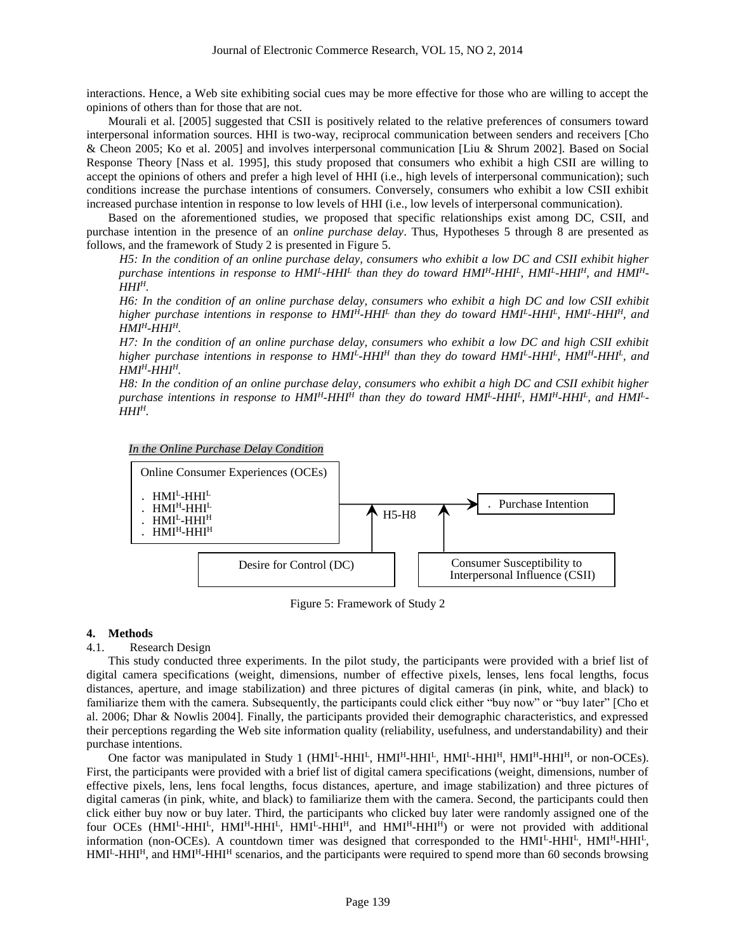interactions. Hence, a Web site exhibiting social cues may be more effective for those who are willing to accept the opinions of others than for those that are not.

Mourali et al. [2005] suggested that CSII is positively related to the relative preferences of consumers toward interpersonal information sources. HHI is two-way, reciprocal communication between senders and receivers [Cho & Cheon 2005; Ko et al. 2005] and involves interpersonal communication [Liu & Shrum 2002]. Based on Social Response Theory [Nass et al. 1995], this study proposed that consumers who exhibit a high CSII are willing to accept the opinions of others and prefer a high level of HHI (i.e., high levels of interpersonal communication); such conditions increase the purchase intentions of consumers. Conversely, consumers who exhibit a low CSII exhibit increased purchase intention in response to low levels of HHI (i.e., low levels of interpersonal communication).

Based on the aforementioned studies, we proposed that specific relationships exist among DC, CSII, and purchase intention in the presence of an *online purchase delay*. Thus, Hypotheses 5 through 8 are presented as follows, and the framework of Study 2 is presented in Figure 5.

*H5: In the condition of an online purchase delay, consumers who exhibit a low DC and CSII exhibit higher purchase intentions in response to HMI<sup>L</sup> -HHI<sup>L</sup> than they do toward HMI<sup>H</sup>-HHI<sup>L</sup> , HMI<sup>L</sup> -HHIH, and HMIH-* $HHI<sup>H</sup>$ .

*H6: In the condition of an online purchase delay, consumers who exhibit a high DC and low CSII exhibit higher purchase intentions in response to HMI<sup>H</sup>-HHI<sup>L</sup> than they do toward HMI<sup>L</sup> -HHI<sup>L</sup> , HMI<sup>L</sup> -HHI<sup>H</sup>, and*   $HMI<sup>H</sup> - HHI<sup>H</sup>$ .

*H7: In the condition of an online purchase delay, consumers who exhibit a low DC and high CSII exhibit higher purchase intentions in response to HMI<sup>L</sup> -HHI<sup>H</sup> than they do toward HMI<sup>L</sup> -HHI<sup>L</sup> , HMI<sup>H</sup>-HHI<sup>L</sup> , and*   $HMI<sup>H</sup> - HHI<sup>H</sup>$ .

*H8: In the condition of an online purchase delay, consumers who exhibit a high DC and CSII exhibit higher purchase intentions in response to HMI<sup>H</sup>-HHI<sup>H</sup> than they do toward HMI<sup>L</sup> -HHI<sup>L</sup> , HMI<sup>H</sup>-HHI<sup>L</sup> , and HMI<sup>L</sup> -*  $HHI<sup>H</sup>$ .





Figure 5: Framework of Study 2

## **4. Methods**

## 4.1. Research Design

This study conducted three experiments. In the pilot study, the participants were provided with a brief list of digital camera specifications (weight, dimensions, number of effective pixels, lenses, lens focal lengths, focus distances, aperture, and image stabilization) and three pictures of digital cameras (in pink, white, and black) to familiarize them with the camera. Subsequently, the participants could click either "buy now" or "buy later" [Cho et al. 2006; Dhar & Nowlis 2004]. Finally, the participants provided their demographic characteristics, and expressed their perceptions regarding the Web site information quality (reliability, usefulness, and understandability) and their purchase intentions.

One factor was manipulated in Study 1 (HMI<sup>L</sup>-HHI<sup>L</sup>, HMI<sup>H</sup>-HHI<sup>L</sup>, HMI<sup>L</sup>-HHI<sup>H</sup>, HMI<sup>H</sup>-HHI<sup>H</sup>, or non-OCEs). First, the participants were provided with a brief list of digital camera specifications (weight, dimensions, number of effective pixels, lens, lens focal lengths, focus distances, aperture, and image stabilization) and three pictures of digital cameras (in pink, white, and black) to familiarize them with the camera. Second, the participants could then click either buy now or buy later. Third, the participants who clicked buy later were randomly assigned one of the four OCEs (HMI<sup>L</sup>-HHI<sup>L</sup>, HMI<sup>H</sup>-HHI<sup>L</sup>, HMI<sup>L</sup>-HHI<sup>H</sup>, and HMI<sup>H</sup>-HHI<sup>H</sup>) or were not provided with additional information (non-OCEs). A countdown timer was designed that corresponded to the HMI<sup>L</sup>-HHI<sup>L</sup>, HMI<sup>H</sup>-HHI<sup>L</sup>, HMI<sup>L</sup>-HHI<sup>H</sup>, and HMI<sup>H</sup>-HHI<sup>H</sup> scenarios, and the participants were required to spend more than 60 seconds browsing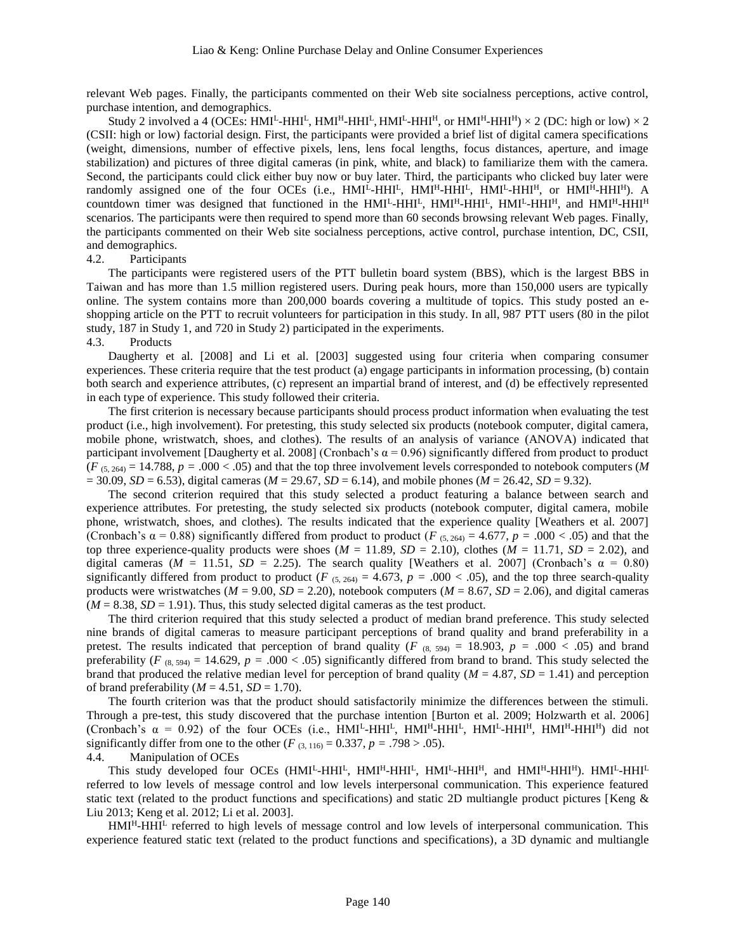relevant Web pages. Finally, the participants commented on their Web site socialness perceptions, active control, purchase intention, and demographics.

Study 2 involved a 4 (OCEs: HMI<sup>L</sup>-HHI<sup>L</sup>, HMI<sup>H</sup>-HHI<sup>L</sup>, HMI<sup>L</sup>-HHI<sup>H</sup>, or HMI<sup>H</sup>-HHI<sup>H</sup>) × 2 (DC: high or low) × 2 (CSII: high or low) factorial design. First, the participants were provided a brief list of digital camera specifications (weight, dimensions, number of effective pixels, lens, lens focal lengths, focus distances, aperture, and image stabilization) and pictures of three digital cameras (in pink, white, and black) to familiarize them with the camera. Second, the participants could click either buy now or buy later. Third, the participants who clicked buy later were randomly assigned one of the four OCEs (i.e.,  $HMI<sup>L</sup>-HHI<sup>L</sup>$ ,  $HMI<sup>L</sup>-HHI<sup>L</sup>$ ,  $HMI<sup>L</sup>-HHI<sup>H</sup>$ , or  $HMI<sup>H</sup>-HHI<sup>H</sup>$ ). A countdown timer was designed that functioned in the  $HMI<sup>L</sup>-HH<sup>L</sup>, HM<sup>H</sup>-HH<sup>H</sup>, and HM<sup>H</sup>-HH<sup>H</sup>$ scenarios. The participants were then required to spend more than 60 seconds browsing relevant Web pages. Finally, the participants commented on their Web site socialness perceptions, active control, purchase intention, DC, CSII, and demographics.

### 4.2. Participants

The participants were registered users of the PTT bulletin board system (BBS), which is the largest BBS in Taiwan and has more than 1.5 million registered users. During peak hours, more than 150,000 users are typically online. The system contains more than 200,000 boards covering a multitude of topics. This study posted an eshopping article on the PTT to recruit volunteers for participation in this study. In all, 987 PTT users (80 in the pilot study, 187 in Study 1, and 720 in Study 2) participated in the experiments.

### 4.3. Products

Daugherty et al. [2008] and Li et al. [2003] suggested using four criteria when comparing consumer experiences. These criteria require that the test product (a) engage participants in information processing, (b) contain both search and experience attributes, (c) represent an impartial brand of interest, and (d) be effectively represented in each type of experience. This study followed their criteria.

The first criterion is necessary because participants should process product information when evaluating the test product (i.e., high involvement). For pretesting, this study selected six products (notebook computer, digital camera, mobile phone, wristwatch, shoes, and clothes). The results of an analysis of variance (ANOVA) indicated that participant involvement [Daugherty et al. 2008] (Cronbach's  $\alpha$  = 0.96) significantly differed from product to product  $(F_{(5, 264)} = 14.788, p = .000 < .05)$  and that the top three involvement levels corresponded to notebook computers (*M*  $= 30.09, SD = 6.53$ , digital cameras ( $M = 29.67, SD = 6.14$ ), and mobile phones ( $M = 26.42, SD = 9.32$ ).

The second criterion required that this study selected a product featuring a balance between search and experience attributes. For pretesting, the study selected six products (notebook computer, digital camera, mobile phone, wristwatch, shoes, and clothes). The results indicated that the experience quality [Weathers et al. 2007] (Cronbach's  $\alpha = 0.88$ ) significantly differed from product to product (*F* (5, 264) = 4.677, *p* = .000 < .05) and that the top three experience-quality products were shoes  $(M = 11.89, SD = 2.10)$ , clothes  $(M = 11.71, SD = 2.02)$ , and digital cameras ( $M = 11.51$ ,  $SD = 2.25$ ). The search quality [Weathers et al. 2007] (Cronbach's  $\alpha = 0.80$ ) significantly differed from product to product (*F*  $_{(5, 264)}$  = 4.673, *p* = .000 < .05), and the top three search-quality products were wristwatches ( $M = 9.00$ ,  $SD = 2.20$ ), notebook computers ( $M = 8.67$ ,  $SD = 2.06$ ), and digital cameras  $(M = 8.38, SD = 1.91)$ . Thus, this study selected digital cameras as the test product.

The third criterion required that this study selected a product of median brand preference. This study selected nine brands of digital cameras to measure participant perceptions of brand quality and brand preferability in a pretest. The results indicated that perception of brand quality ( $F$  (8, 594) = 18.903,  $p = .000 < .05$ ) and brand preferability (*F* (8, 594) = 14.629, *p* = .000 < .05) significantly differed from brand to brand. This study selected the brand that produced the relative median level for perception of brand quality ( $M = 4.87$ ,  $SD = 1.41$ ) and perception of brand preferability ( $M = 4.51$ ,  $SD = 1.70$ ).

The fourth criterion was that the product should satisfactorily minimize the differences between the stimuli. Through a pre-test, this study discovered that the purchase intention [Burton et al. 2009; Holzwarth et al. 2006] (Cronbach's  $\alpha = 0.92$ ) of the four OCEs (i.e., HMI<sup>L</sup>-HHI<sup>L</sup>, HMI<sup>H</sup>-HHI<sup>L</sup>, HMI<sup>L</sup>-HHI<sup>H</sup>, HMI<sup>H</sup>-HHI<sup>H</sup>) did not significantly differ from one to the other ( $F_{(3, 116)} = 0.337$ ,  $p = .798 > .05$ ). 4.4. Manipulation of OCEs

This study developed four OCEs (HMI<sup>L</sup>-HHI<sup>L</sup>, HMI<sup>H</sup>-HHI<sup>L</sup>, HMI<sup>L</sup>-HHI<sup>H</sup>, and HMI<sup>H</sup>-HHI<sup>H</sup>). HMI<sup>L</sup>-HHI<sup>L</sup> referred to low levels of message control and low levels interpersonal communication. This experience featured static text (related to the product functions and specifications) and static 2D multiangle product pictures [Keng & Liu 2013; Keng et al. 2012; Li et al. 2003].

 $HMI<sup>L</sup>HHI<sup>L</sup>$  referred to high levels of message control and low levels of interpersonal communication. This experience featured static text (related to the product functions and specifications), a 3D dynamic and multiangle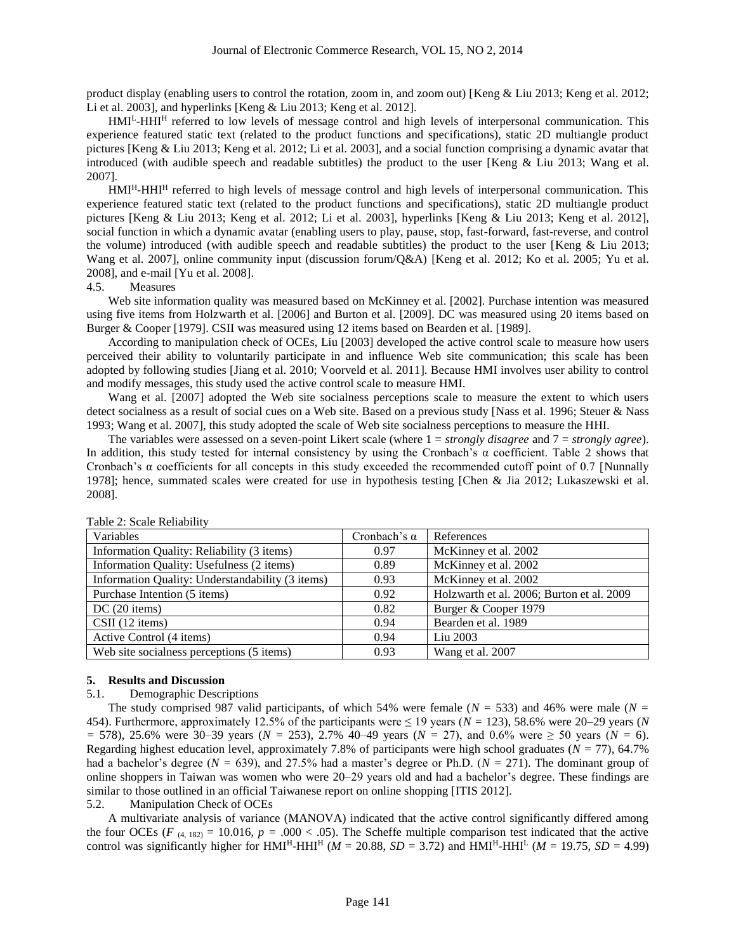product display (enabling users to control the rotation, zoom in, and zoom out) [Keng & Liu 2013; Keng et al. 2012; Li et al. 2003], and hyperlinks [Keng & Liu 2013; Keng et al. 2012].

HMI<sup>L</sup>-HHI<sup>H</sup> referred to low levels of message control and high levels of interpersonal communication. This experience featured static text (related to the product functions and specifications), static 2D multiangle product pictures [Keng & Liu 2013; Keng et al. 2012; Li et al. 2003], and a social function comprising a dynamic avatar that introduced (with audible speech and readable subtitles) the product to the user [Keng & Liu 2013; Wang et al. 2007].

HMI<sup>H</sup>-HHI<sup>H</sup> referred to high levels of message control and high levels of interpersonal communication. This experience featured static text (related to the product functions and specifications), static 2D multiangle product pictures [Keng & Liu 2013; Keng et al. 2012; Li et al. 2003], hyperlinks [Keng & Liu 2013; Keng et al. 2012], social function in which a dynamic avatar (enabling users to play, pause, stop, fast-forward, fast-reverse, and control the volume) introduced (with audible speech and readable subtitles) the product to the user [Keng & Liu 2013; Wang et al. 2007], online community input (discussion forum/Q&A) [Keng et al. 2012; Ko et al. 2005; Yu et al. 2008], and e-mail [Yu et al. 2008].

## 4.5. Measures

Web site information quality was measured based on McKinney et al. [2002]. Purchase intention was measured using five items from Holzwarth et al. [2006] and Burton et al. [2009]. DC was measured using 20 items based on Burger & Cooper [1979]. CSII was measured using 12 items based on Bearden et al. [1989].

According to manipulation check of OCEs, Liu [2003] developed the active control scale to measure how users perceived their ability to voluntarily participate in and influence Web site communication; this scale has been adopted by following studies [Jiang et al. 2010; Voorveld et al. 2011]. Because HMI involves user ability to control and modify messages, this study used the active control scale to measure HMI.

Wang et al. [2007] adopted the Web site socialness perceptions scale to measure the extent to which users detect socialness as a result of social cues on a Web site. Based on a previous study [Nass et al. 1996; Steuer & Nass 1993; Wang et al. 2007], this study adopted the scale of Web site socialness perceptions to measure the HHI.

The variables were assessed on a seven-point Likert scale (where 1 = *strongly disagree* and 7 = *strongly agree*). In addition, this study tested for internal consistency by using the Cronbach's α coefficient. Table 2 shows that Cronbach's α coefficients for all concepts in this study exceeded the recommended cutoff point of 0.7 [Nunnally 1978]; hence, summated scales were created for use in hypothesis testing [Chen & Jia 2012; Lukaszewski et al. 2008].

| Variables                                        | Cronbach's $\alpha$ | References                                |
|--------------------------------------------------|---------------------|-------------------------------------------|
| Information Quality: Reliability (3 items)       | 0.97                | McKinney et al. 2002                      |
| Information Quality: Usefulness (2 items)        | 0.89                | McKinney et al. 2002                      |
| Information Quality: Understandability (3 items) | 0.93                | McKinney et al. 2002                      |
| Purchase Intention (5 items)                     | 0.92                | Holzwarth et al. 2006; Burton et al. 2009 |
| $DC(20$ items)                                   | 0.82                | Burger & Cooper 1979                      |
| $CSII$ (12 items)                                | 0.94                | Bearden et al. 1989                       |
| Active Control (4 items)                         | 0.94                | Liu 2003                                  |
| Web site socialness perceptions (5 items)        | 0.93                | Wang et al. 2007                          |

Table 2: Scale Reliability

#### **5. Results and Discussion**

### 5.1. Demographic Descriptions

The study comprised 987 valid participants, of which 54% were female (*N =* 533) and 46% were male (*N =* 454). Furthermore, approximately 12.5% of the participants were ≤ 19 years (*N =* 123), 58.6% were 20–29 years (*N =* 578), 25.6% were 30–39 years (*N =* 253), 2.7% 40–49 years (*N =* 27), and 0.6% were ≥ 50 years (*N =* 6). Regarding highest education level, approximately 7.8% of participants were high school graduates (*N =* 77), 64.7% had a bachelor's degree (*N =* 639), and 27.5% had a master's degree or Ph.D. (*N =* 271). The dominant group of online shoppers in Taiwan was women who were 20–29 years old and had a bachelor's degree. These findings are similar to those outlined in an official Taiwanese report on online shopping [ITIS 2012].

#### 5.2. Manipulation Check of OCEs

A multivariate analysis of variance (MANOVA) indicated that the active control significantly differed among the four OCEs ( $F$  (4, 182) = 10.016,  $p = .000 < .05$ ). The Scheffe multiple comparison test indicated that the active control was significantly higher for  $HMI<sup>H</sup> - HHI<sup>H</sup>$  (*M* = 20.88, *SD* = 3.72) and  $HMI<sup>H</sup> - HHI<sup>L</sup>$  (*M* = 19.75, *SD* = 4.99)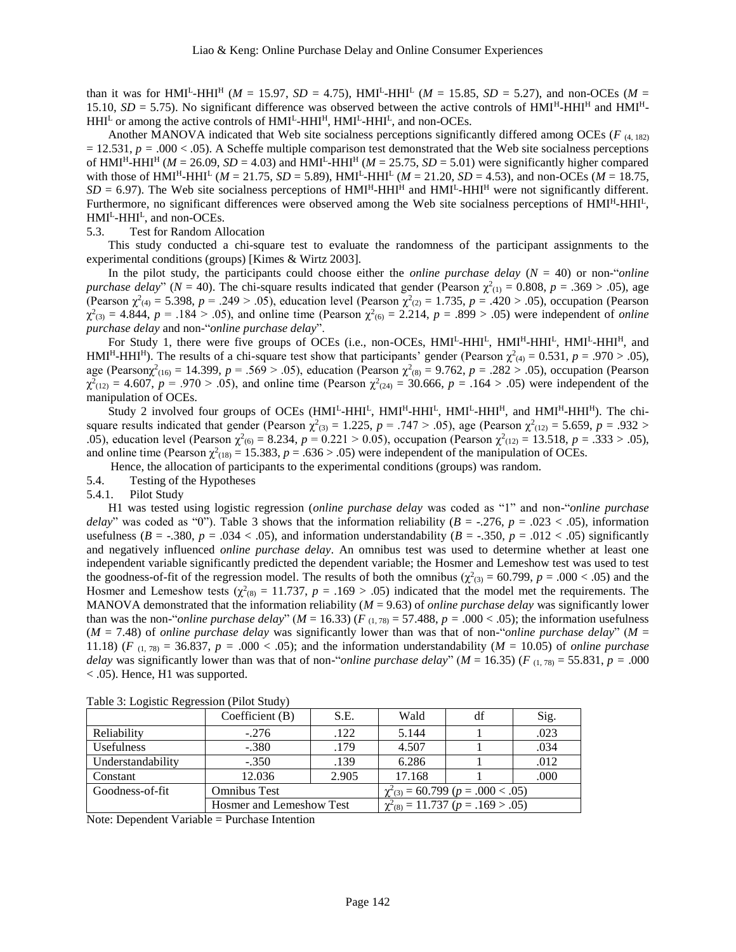than it was for HMI<sup>L</sup>-HHI<sup>H</sup> ( $M = 15.97$ ,  $SD = 4.75$ ), HMI<sup>L</sup>-HHI<sup>L</sup> ( $M = 15.85$ ,  $SD = 5.27$ ), and non-OCEs ( $M =$ 15.10,  $SD = 5.75$ ). No significant difference was observed between the active controls of  $HMI<sup>H</sup>-HH<sup>H</sup>$  and  $HMI<sup>H</sup>$ HHI<sup>L</sup> or among the active controls of HMI<sup>L</sup>-HHI<sup>H</sup>, HMI<sup>L</sup>-HHI<sup>L</sup>, and non-OCEs.

Another MANOVA indicated that Web site socialness perceptions significantly differed among OCEs ( $F$  (4, 182)  $= 12.531$ ,  $p = .000 < .05$ ). A Scheffe multiple comparison test demonstrated that the Web site socialness perceptions of  $HMI<sup>H</sup>-HHI<sup>H</sup>$  (*M* = 26.09, *SD* = 4.03) and  $HMI<sup>H</sup>-HHI<sup>H</sup>$  (*M* = 25.75, *SD* = 5.01) were significantly higher compared with those of  $HMI<sup>H</sup>-HHI<sup>L</sup>$  ( $M = 21.75$ ,  $SD = 5.89$ ),  $HMI<sup>L</sup>-HHI<sup>L</sup>$  ( $M = 21.20$ ,  $SD = 4.53$ ), and non-OCEs ( $M = 18.75$ ,  $SD = 6.97$ ). The Web site socialness perceptions of  $HMI<sup>H</sup>-HH<sup>H</sup>$  and  $HMI<sup>L</sup>-HH<sup>H</sup>$  were not significantly different. Furthermore, no significant differences were observed among the Web site socialness perceptions of HMI<sup>H</sup>-HHI<sup>L</sup>, HMI<sup>L</sup>-HHI<sup>L</sup>, and non-OCEs.

#### 5.3. Test for Random Allocation

This study conducted a chi-square test to evaluate the randomness of the participant assignments to the experimental conditions (groups) [Kimes & Wirtz 2003].

In the pilot study, the participants could choose either the *online purchase delay*  $(N = 40)$  or non-"*online purchase delay*" ( $N = 40$ ). The chi-square results indicated that gender (Pearson  $\chi^2_{(1)} = 0.808$ ,  $p = .369 > .05$ ), age (Pearson  $\chi^2_{(4)} = 5.398$ ,  $p = .249 > .05$ ), education level (Pearson  $\chi^2_{(2)} = 1.735$ ,  $p = .420 > .05$ ), occupation (Pearson  $\chi^2_{(3)} = 4.844$ ,  $p = .184 > .05$ ), and online time (Pearson  $\chi^2_{(6)} = 2.214$ ,  $p = .899 > .05$ ) were independent of *online purchase delay* and non-"*online purchase delay*".

For Study 1, there were five groups of OCEs (i.e., non-OCEs, HMI<sup>L</sup>-HHI<sup>L</sup>, HMI<sup>H</sup>-HHI<sup>L</sup>, HMI<sup>L</sup>-HHI<sup>H</sup>, and HMI<sup>H</sup>-HHI<sup>H</sup>). The results of a chi-square test show that participants' gender (Pearson  $\chi^2_{(4)} = 0.531$ ,  $p = .970 > .05$ ), age (Pearson $\chi^2_{(16)} = 14.399$ ,  $p = .569 > .05$ ), education (Pearson  $\chi^2_{(8)} = 9.762$ ,  $p = .282 > .05$ ), occupation (Pearson  $\chi^2(12)} = 4.607$ ,  $p = .970 > .05$ ), and online time (Pearson  $\chi^2(24)} = 30.666$ ,  $p = .164 > .05$ ) were independent of the manipulation of OCEs.

Study 2 involved four groups of OCEs (HMI<sup>L</sup>-HHI<sup>L</sup>, HMI<sup>H</sup>-HHI<sup>L</sup>, HMI<sup>L</sup>-HHI<sup>H</sup>, and HMI<sup>H</sup>-HHI<sup>H</sup>). The chisquare results indicated that gender (Pearson  $\chi^2_{(3)} = 1.225$ ,  $p = .747 > .05$ ), age (Pearson  $\chi^2_{(12)} = 5.659$ ,  $p = .932 >$ .05), education level (Pearson  $\chi^2$ <sub>(6)</sub> = 8.234, *p* = 0.221 > 0.05), occupation (Pearson  $\chi^2$ <sub>(12)</sub> = 13.518, *p* = .333 > .05), and online time (Pearson  $\chi^2$ <sub>(18)</sub> = 15.383, *p* = .636 > .05) were independent of the manipulation of OCEs.

Hence, the allocation of participants to the experimental conditions (groups) was random.

5.4. Testing of the Hypotheses

5.4.1. Pilot Study

H1 was tested using logistic regression (*online purchase delay* was coded as "1" and non-"*online purchase delay*" was coded as "0"). Table 3 shows that the information reliability ( $B = -0.276$ ,  $p = 0.023 < 0.05$ ), information usefulness ( $B = -0.380$ ,  $p = 0.034 < 0.05$ ), and information understandability ( $B = -0.350$ ,  $p = 0.012 < 0.05$ ) significantly and negatively influenced *online purchase delay*. An omnibus test was used to determine whether at least one independent variable significantly predicted the dependent variable; the Hosmer and Lemeshow test was used to test the goodness-of-fit of the regression model. The results of both the omnibus  $(\chi^2_{(3)} = 60.799, p = .000 < .05)$  and the Hosmer and Lemeshow tests  $(\chi^2_{(8)} = 11.737, p = .169 > .05)$  indicated that the model met the requirements. The MANOVA demonstrated that the information reliability  $(M = 9.63)$  of *online purchase delay* was significantly lower than was the non-"*online purchase delay*" ( $M = 16.33$ ) ( $F_{(1,78)} = 57.488$ ,  $p = .000 < .05$ ); the information usefulness (*M* = 7.48) of *online purchase delay* was significantly lower than was that of non-"*online purchase delay*" (*M* = 11.18) (*F* (1, 78) = 36.837, *p* = .000 < .05); and the information understandability (*M* = 10.05) of *online purchase delay* was significantly lower than was that of non-"*online purchase delay*" ( $M = 16.35$ ) ( $F_{(1, 78)} = 55.831$ ,  $p = .000$ < .05). Hence, H1 was supported.

|                   | Coefficient $(B)$        | S.E.  | Wald                                         | df | Sig. |
|-------------------|--------------------------|-------|----------------------------------------------|----|------|
| Reliability       | $-.276$                  | .122  | 5.144                                        |    | .023 |
| <b>Usefulness</b> | $-.380$                  | .179  | 4.507                                        |    | .034 |
| Understandability | $-.350$                  | .139  | 6.286                                        |    | .012 |
| Constant          | 12.036                   | 2.905 | 17.168                                       |    | .000 |
| Goodness-of-fit   | <b>Omnibus Test</b>      |       | $\chi^2_{(3)} = 60.799$ ( $p = .000 < .05$ ) |    |      |
|                   | Hosmer and Lemeshow Test |       | $\chi^2_{(8)} = 11.737$ ( $p = .169 > .05$ ) |    |      |

Table 3: Logistic Regression (Pilot Study)

Note: Dependent Variable = Purchase Intention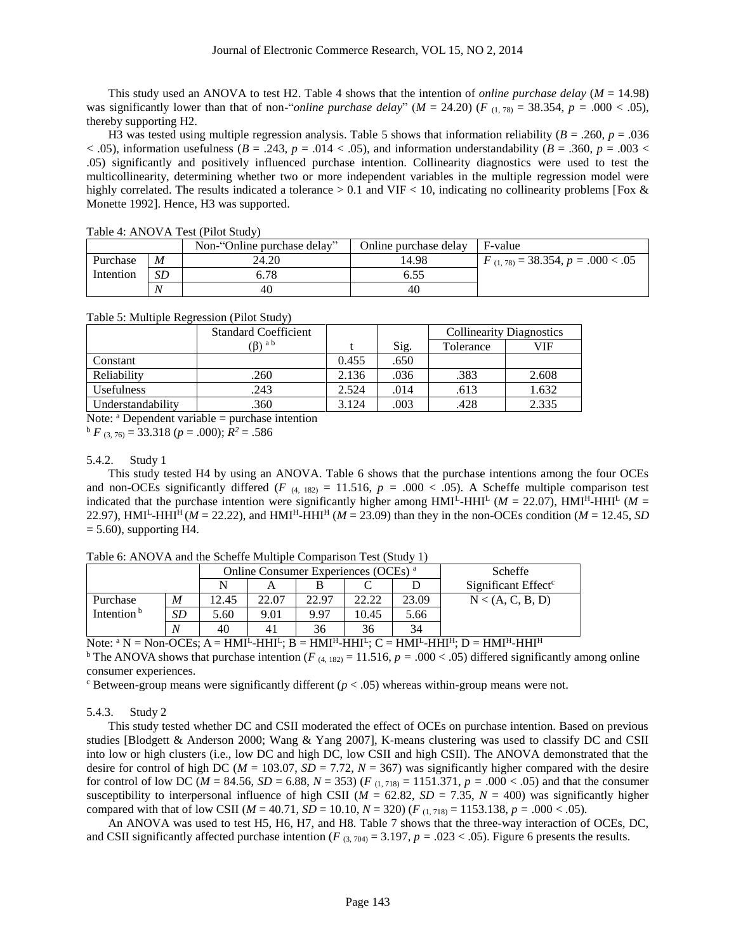This study used an ANOVA to test H2. Table 4 shows that the intention of *online purchase delay* (*M* = 14.98) was significantly lower than that of non-"*online purchase delay*" ( $M = 24.20$ ) ( $F_{(1, 78)} = 38.354$ ,  $p = .000 < .05$ ), thereby supporting H2.

H3 was tested using multiple regression analysis. Table 5 shows that information reliability  $(B = .260, p = .036)$  $(0.65)$ , information usefulness ( $B = .243$ ,  $p = .014 < .05$ ), and information understandability ( $B = .360$ ,  $p = .003 <$ .05) significantly and positively influenced purchase intention. Collinearity diagnostics were used to test the multicollinearity, determining whether two or more independent variables in the multiple regression model were highly correlated. The results indicated a tolerance  $> 0.1$  and VIF  $< 10$ , indicating no collinearity problems [Fox & Monette 1992]. Hence, H3 was supported.

|           |    | Non-"Online purchase delay" | Online purchase delay | F-value                                |
|-----------|----|-----------------------------|-----------------------|----------------------------------------|
| Purchase  | M  | 24.20                       | 14.98                 | $F_{(1, 78)} = 38.354, p = .000 < .05$ |
| Intention | SD | 5.78                        |                       |                                        |
|           |    | 40                          | 40                    |                                        |

Table 4: ANOVA Test (Pilot Study)

Table 5: Multiple Regression (Pilot Study)

|                   | <b>Standard Coefficient</b> |       |      | <b>Collinearity Diagnostics</b> |       |
|-------------------|-----------------------------|-------|------|---------------------------------|-------|
|                   | $(\beta)$ a b               |       | Sig. | Tolerance                       | VIF   |
| Constant          |                             | 0.455 | .650 |                                 |       |
| Reliability       | .260                        | 2.136 | .036 | .383                            | 2.608 |
| <b>Usefulness</b> | .243                        | 2.524 | .014 | .613                            | 1.632 |
| Understandability | .360                        | 3.124 | .003 | .428                            | 2.335 |

Note:  $a$  Dependent variable = purchase intention

 $b \ F (3, 76) = 33.318 (p = .000); R^2 = .586$ 

## 5.4.2. Study 1

This study tested H4 by using an ANOVA. Table 6 shows that the purchase intentions among the four OCEs and non-OCEs significantly differed ( $F$  (4, 182) = 11.516,  $p = .000 < .05$ ). A Scheffe multiple comparison test indicated that the purchase intention were significantly higher among  $HMI<sup>L</sup>-HH<sup>L</sup>$  ( $M = 22.07$ ),  $HMI<sup>L</sup>-HH<sup>L</sup>$  ( $M =$ 22.97), HMI<sup>L</sup>-HHI<sup>H</sup> ( $M = 22.22$ ), and HMI<sup>H</sup>-HHI<sup>H</sup> ( $M = 23.09$ ) than they in the non-OCEs condition ( $M = 12.45$ , SD  $= 5.60$ , supporting H4.

|                        |           | Online Consumer Experiences (OCEs) <sup>a</sup> |       |       |       |       | <b>Scheffe</b>                  |
|------------------------|-----------|-------------------------------------------------|-------|-------|-------|-------|---------------------------------|
|                        |           |                                                 |       |       |       |       | Significant Effect <sup>c</sup> |
| Purchase               | M         | 2.45                                            | 22.07 | 22.97 | 22.22 | 23.09 | N < (A, C, B, D)                |
| Intention <sup>b</sup> | <b>SD</b> | 5.60                                            | 9.01  | 9.97  | 10.45 | 5.66  |                                 |
|                        | N         | 40                                              | 41    | 36    | 36    | 34    |                                 |

Table 6: ANOVA and the Scheffe Multiple Comparison Test (Study 1)

Note:  $^{\rm a}$  N = Non-OCEs; A = HMI<sup>L</sup>-HHI<sup>L</sup>; B = HMI<sup>H</sup>-HHI<sup>L</sup>; C = HMI<sup>L</sup>-HHI<sup>H</sup>; D = HMI<sup>H</sup>-HHI<sup>H</sup>

<sup>b</sup> The ANOVA shows that purchase intention (*F* (4, 182) = 11.516, *p* = .000 < .05) differed significantly among online consumer experiences.

 $\epsilon$  Between-group means were significantly different ( $p < .05$ ) whereas within-group means were not.

5.4.3. Study 2

This study tested whether DC and CSII moderated the effect of OCEs on purchase intention. Based on previous studies [Blodgett & Anderson 2000; Wang & Yang 2007], K-means clustering was used to classify DC and CSII into low or high clusters (i.e., low DC and high DC, low CSII and high CSII). The ANOVA demonstrated that the desire for control of high DC ( $M = 103.07$ ,  $SD = 7.72$ ,  $N = 367$ ) was significantly higher compared with the desire for control of low DC ( $M = 84.56$ ,  $SD = 6.88$ ,  $N = 353$ ) ( $F_{(1, 718)} = 1151.371$ ,  $p = .000 < .05$ ) and that the consumer susceptibility to interpersonal influence of high CSII ( $M = 62.82$ ,  $SD = 7.35$ ,  $N = 400$ ) was significantly higher compared with that of low CSII ( $M = 40.71$ ,  $SD = 10.10$ ,  $N = 320$ ) ( $F_{(1, 718)} = 1153.138$ ,  $p = .000 < .05$ ).

An ANOVA was used to test H5, H6, H7, and H8. Table 7 shows that the three-way interaction of OCEs, DC, and CSII significantly affected purchase intention ( $F_{(3,704)} = 3.197$ ,  $p = .023 < .05$ ). Figure 6 presents the results.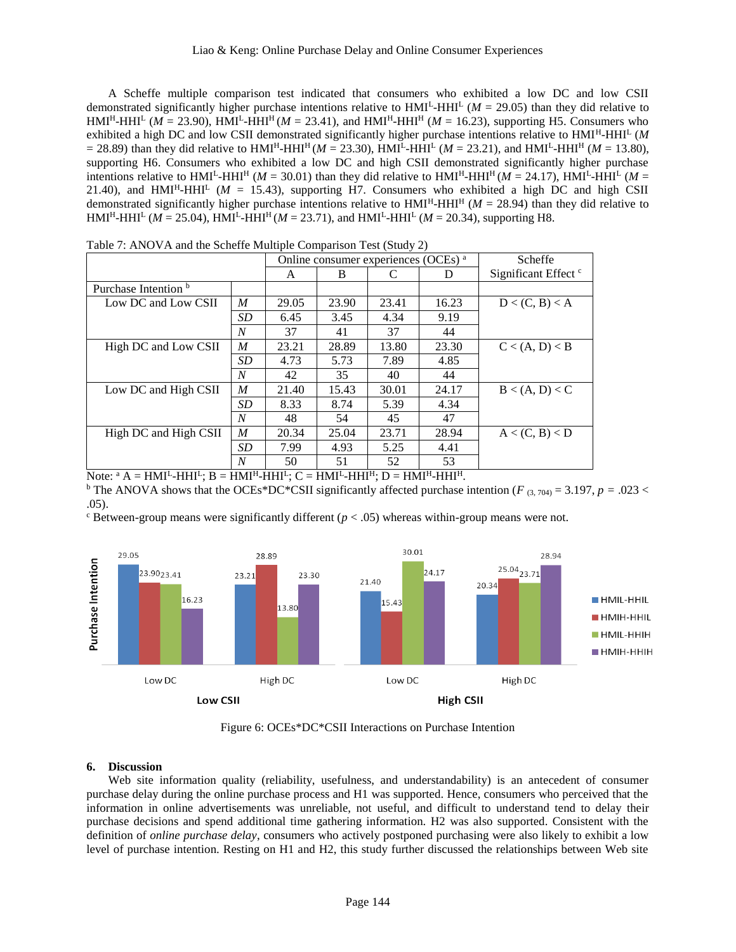A Scheffe multiple comparison test indicated that consumers who exhibited a low DC and low CSII demonstrated significantly higher purchase intentions relative to  $HMI<sup>L</sup> HHI<sup>L</sup>$  ( $M = 29.05$ ) than they did relative to  $HMI<sup>H</sup>-HHI<sup>L</sup>$  (*M* = 23.90), HMI<sup>L</sup>-HHI<sup>H</sup> (*M* = 23.41), and HMI<sup>H</sup>-HHI<sup>H</sup> (*M* = 16.23), supporting H5. Consumers who exhibited a high DC and low CSII demonstrated significantly higher purchase intentions relative to HMI<sup>H</sup>-HHI<sup>L</sup> (M  $=$  28.89) than they did relative to  $HMI<sup>H</sup>-HH<sup>H</sup>$  (*M* = 23.30),  $HMI<sup>L</sup>-HH<sup>L</sup>$  (*M* = 23.21), and  $HMI<sup>L</sup>-HH<sup>H</sup>$  (*M* = 13.80), supporting H6. Consumers who exhibited a low DC and high CSII demonstrated significantly higher purchase intentions relative to  $HMI^L-HHI^H$  ( $M = 30.01$ ) than they did relative to  $HMI^H-HHI^H$  ( $M = 24.17$ ),  $HMI^L-HHI^L$  ( $M =$ 21.40), and  $HMI<sup>L</sup> HHI<sup>L</sup> (*M* = 15.43)$ , supporting H7. Consumers who exhibited a high DC and high CSII demonstrated significantly higher purchase intentions relative to  $HMI<sup>H</sup>-HH<sup>H</sup>$  ( $M = 28.94$ ) than they did relative to  $HMI<sup>H</sup>-HHI<sup>L</sup>$  (*M* = 25.04),  $HMI<sup>L</sup>-HHI<sup>H</sup>$  (*M* = 23.71), and  $HMI<sup>L</sup>-HHI<sup>L</sup>$  (*M* = 20.34), supporting H8.

|                       | Online consumer experiences (OCEs) <sup>a</sup> |       |       |       | Scheffe                         |                |
|-----------------------|-------------------------------------------------|-------|-------|-------|---------------------------------|----------------|
|                       | A                                               | B     |       | Ð     | Significant Effect <sup>c</sup> |                |
| Purchase Intention b  |                                                 |       |       |       |                                 |                |
| Low DC and Low CSII   | M                                               | 29.05 | 23.90 | 23.41 | 16.23                           | D < (C, B) < A |
|                       | SD                                              | 6.45  | 3.45  | 4.34  | 9.19                            |                |
|                       | N                                               | 37    | 41    | 37    | 44                              |                |
| High DC and Low CSII  | M                                               | 23.21 | 28.89 | 13.80 | 23.30                           | C < (A, D) < B |
|                       | <b>SD</b>                                       | 4.73  | 5.73  | 7.89  | 4.85                            |                |
|                       | N                                               | 42    | 35    | 40    | 44                              |                |
| Low DC and High CSII  | M                                               | 21.40 | 15.43 | 30.01 | 24.17                           | B < (A, D) < C |
|                       | <b>SD</b>                                       | 8.33  | 8.74  | 5.39  | 4.34                            |                |
|                       | N                                               | 48    | 54    | 45    | 47                              |                |
| High DC and High CSII | M                                               | 20.34 | 25.04 | 23.71 | 28.94                           | A < (C, B) < D |
|                       | <b>SD</b>                                       | 7.99  | 4.93  | 5.25  | 4.41                            |                |
|                       | N                                               | 50    | 51    | 52    | 53                              |                |

Table 7: ANOVA and the Scheffe Multiple Comparison Test (Study 2)

Note:  $^{\rm a}$  A = HMI<sup>L</sup>-HHI<sup>L</sup>; B = HMI<sup>H</sup>-HHI<sup>L</sup>; C = HMI<sup>L</sup>-HHI<sup>H</sup>; D = HMI<sup>H</sup>-HHI<sup>H</sup>.

<sup>b</sup> The ANOVA shows that the OCEs\*DC\*CSII significantly affected purchase intention ( $F_{(3, 704)} = 3.197$ ,  $p = .023 <$ .05).

 $\epsilon$  Between-group means were significantly different ( $p < .05$ ) whereas within-group means were not.



Figure 6: OCEs\*DC\*CSII Interactions on Purchase Intention

## **6. Discussion**

Web site information quality (reliability, usefulness, and understandability) is an antecedent of consumer purchase delay during the online purchase process and H1 was supported. Hence, consumers who perceived that the information in online advertisements was unreliable, not useful, and difficult to understand tend to delay their purchase decisions and spend additional time gathering information. H2 was also supported. Consistent with the definition of *online purchase delay*, consumers who actively postponed purchasing were also likely to exhibit a low level of purchase intention. Resting on H1 and H2, this study further discussed the relationships between Web site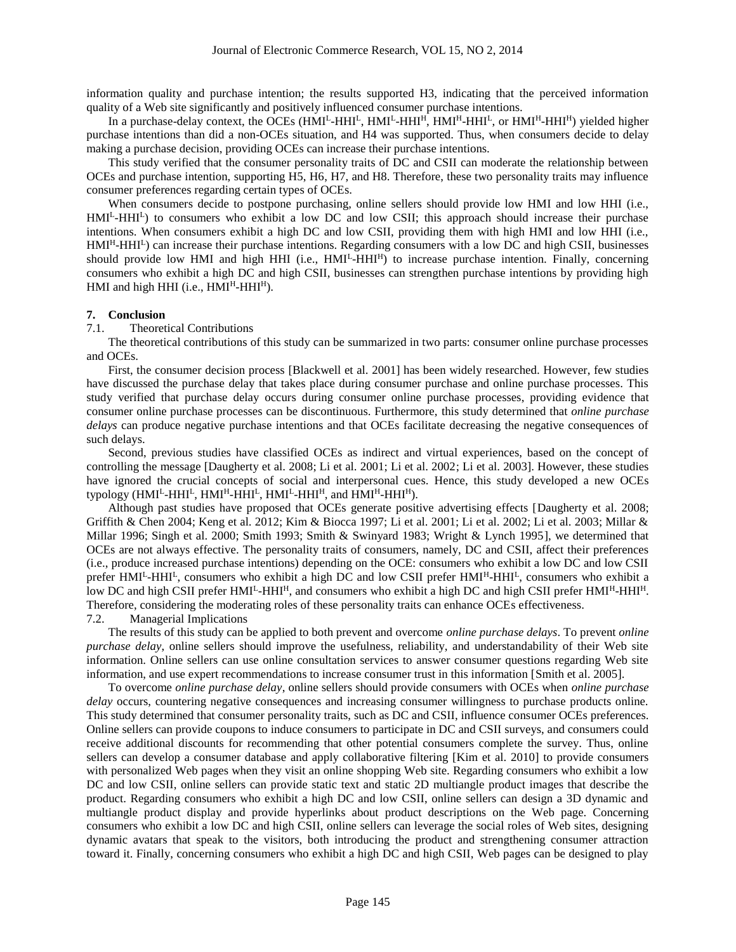information quality and purchase intention; the results supported H3, indicating that the perceived information quality of a Web site significantly and positively influenced consumer purchase intentions.

In a purchase-delay context, the OCEs (HMI<sup>L</sup>-HHI<sup>L</sup>, HMI<sup>L</sup>-HHI<sup>H</sup>, HMI<sup>H</sup>-HHI<sup>L</sup>, or HMI<sup>H</sup>-HHI<sup>H</sup>) yielded higher purchase intentions than did a non-OCEs situation, and H4 was supported. Thus, when consumers decide to delay making a purchase decision, providing OCEs can increase their purchase intentions.

This study verified that the consumer personality traits of DC and CSII can moderate the relationship between OCEs and purchase intention, supporting H5, H6, H7, and H8. Therefore, these two personality traits may influence consumer preferences regarding certain types of OCEs.

When consumers decide to postpone purchasing, online sellers should provide low HMI and low HHI (i.e., HMI<sup>L</sup>-HHI<sup>L</sup>) to consumers who exhibit a low DC and low CSII; this approach should increase their purchase intentions. When consumers exhibit a high DC and low CSII, providing them with high HMI and low HHI (i.e.,  $HMI<sup>H</sup>-HHI<sup>L</sup>$ ) can increase their purchase intentions. Regarding consumers with a low DC and high CSII, businesses should provide low HMI and high HHI (i.e., HMI<sup>L</sup>-HHI<sup>H</sup>) to increase purchase intention. Finally, concerning consumers who exhibit a high DC and high CSII, businesses can strengthen purchase intentions by providing high HMI and high HHI (i.e.,  $HMI<sup>H</sup>-HHI<sup>H</sup>$ ).

#### **7. Conclusion**

#### 7.1. Theoretical Contributions

The theoretical contributions of this study can be summarized in two parts: consumer online purchase processes and OCEs.

First, the consumer decision process [Blackwell et al. 2001] has been widely researched. However, few studies have discussed the purchase delay that takes place during consumer purchase and online purchase processes. This study verified that purchase delay occurs during consumer online purchase processes, providing evidence that consumer online purchase processes can be discontinuous. Furthermore, this study determined that *online purchase delays* can produce negative purchase intentions and that OCEs facilitate decreasing the negative consequences of such delays.

Second, previous studies have classified OCEs as indirect and virtual experiences, based on the concept of controlling the message [Daugherty et al. 2008; Li et al. 2001; Li et al. 2002; Li et al. 2003]. However, these studies have ignored the crucial concepts of social and interpersonal cues. Hence, this study developed a new OCEs typology (HMI<sup>L</sup>-HHI<sup>L</sup>, HMI<sup>H</sup>-HHI<sup>L</sup>, HMI<sup>L</sup>-HHI<sup>H</sup>, and HMI<sup>H</sup>-HHI<sup>H</sup>).

Although past studies have proposed that OCEs generate positive advertising effects [Daugherty et al. 2008; Griffith & Chen 2004; Keng et al. 2012; Kim & Biocca 1997; Li et al. 2001; Li et al. 2002; Li et al. 2003; Millar & Millar 1996; Singh et al. 2000; Smith 1993; Smith & Swinyard 1983; Wright & Lynch 1995], we determined that OCEs are not always effective. The personality traits of consumers, namely, DC and CSII, affect their preferences (i.e., produce increased purchase intentions) depending on the OCE: consumers who exhibit a low DC and low CSII prefer HMI<sup>L</sup>-HHI<sup>L</sup>, consumers who exhibit a high DC and low CSII prefer HMI<sup>H</sup>-HHI<sup>L</sup>, consumers who exhibit a low DC and high CSII prefer HMI<sup>L</sup>-HHI<sup>H</sup>, and consumers who exhibit a high DC and high CSII prefer HMI<sup>H</sup>-HHI<sup>H</sup>. Therefore, considering the moderating roles of these personality traits can enhance OCEs effectiveness.

#### 7.2. Managerial Implications

The results of this study can be applied to both prevent and overcome *online purchase delays*. To prevent *online purchase delay*, online sellers should improve the usefulness, reliability, and understandability of their Web site information. Online sellers can use online consultation services to answer consumer questions regarding Web site information, and use expert recommendations to increase consumer trust in this information [Smith et al. 2005].

To overcome *online purchase delay*, online sellers should provide consumers with OCEs when *online purchase delay* occurs, countering negative consequences and increasing consumer willingness to purchase products online. This study determined that consumer personality traits, such as DC and CSII, influence consumer OCEs preferences. Online sellers can provide coupons to induce consumers to participate in DC and CSII surveys, and consumers could receive additional discounts for recommending that other potential consumers complete the survey. Thus, online sellers can develop a consumer database and apply collaborative filtering [Kim et al. 2010] to provide consumers with personalized Web pages when they visit an online shopping Web site. Regarding consumers who exhibit a low DC and low CSII, online sellers can provide static text and static 2D multiangle product images that describe the product. Regarding consumers who exhibit a high DC and low CSII, online sellers can design a 3D dynamic and multiangle product display and provide hyperlinks about product descriptions on the Web page. Concerning consumers who exhibit a low DC and high CSII, online sellers can leverage the social roles of Web sites, designing dynamic avatars that speak to the visitors, both introducing the product and strengthening consumer attraction toward it. Finally, concerning consumers who exhibit a high DC and high CSII, Web pages can be designed to play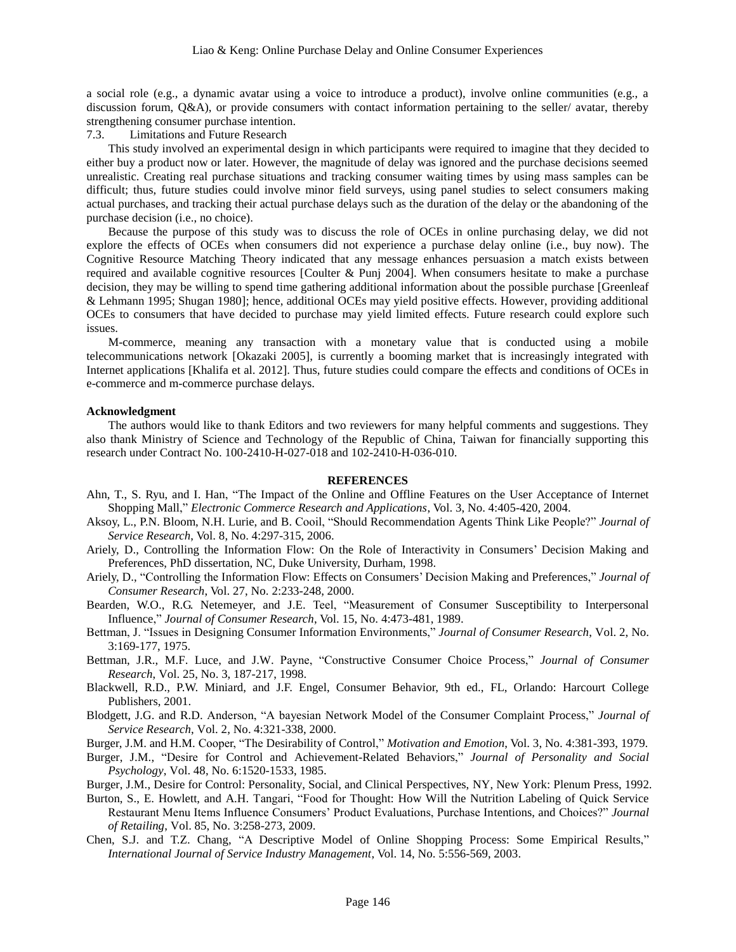a social role (e.g., a dynamic avatar using a voice to introduce a product), involve online communities (e.g., a discussion forum, Q&A), or provide consumers with contact information pertaining to the seller/ avatar, thereby strengthening consumer purchase intention.

7.3. Limitations and Future Research

This study involved an experimental design in which participants were required to imagine that they decided to either buy a product now or later. However, the magnitude of delay was ignored and the purchase decisions seemed unrealistic. Creating real purchase situations and tracking consumer waiting times by using mass samples can be difficult; thus, future studies could involve minor field surveys, using panel studies to select consumers making actual purchases, and tracking their actual purchase delays such as the duration of the delay or the abandoning of the purchase decision (i.e., no choice).

Because the purpose of this study was to discuss the role of OCEs in online purchasing delay, we did not explore the effects of OCEs when consumers did not experience a purchase delay online (i.e., buy now). The Cognitive Resource Matching Theory indicated that any message enhances persuasion a match exists between required and available cognitive resources [Coulter & Punj 2004]. When consumers hesitate to make a purchase decision, they may be willing to spend time gathering additional information about the possible purchase [Greenleaf & Lehmann 1995; Shugan 1980]; hence, additional OCEs may yield positive effects. However, providing additional OCEs to consumers that have decided to purchase may yield limited effects. Future research could explore such issues.

M-commerce, meaning any transaction with a monetary value that is conducted using a mobile telecommunications network [Okazaki 2005], is currently a booming market that is increasingly integrated with Internet applications [Khalifa et al. 2012]. Thus, future studies could compare the effects and conditions of OCEs in e-commerce and m-commerce purchase delays.

#### **Acknowledgment**

The authors would like to thank Editors and two reviewers for many helpful comments and suggestions. They also thank Ministry of Science and Technology of the Republic of China, Taiwan for financially supporting this research under Contract No. 100-2410-H-027-018 and 102-2410-H-036-010.

#### **REFERENCES**

- Ahn, T., S. Ryu, and I. Han, "The Impact of the Online and Offline Features on the User Acceptance of Internet Shopping Mall," *Electronic Commerce Research and Applications*, Vol. 3, No. 4:405-420, 2004.
- Aksoy, L., P.N. Bloom, N.H. Lurie, and B. Cooil, "Should Recommendation Agents Think Like People?" *Journal of Service Research*, Vol. 8, No. 4:297-315, 2006.
- Ariely, D., Controlling the Information Flow: On the Role of Interactivity in Consumers' Decision Making and Preferences, PhD dissertation, NC, Duke University, Durham, 1998.
- Ariely, D., "Controlling the Information Flow: Effects on Consumers' Decision Making and Preferences," *Journal of Consumer Research*, Vol. 27, No. 2:233-248, 2000.
- Bearden, W.O., R.G. Netemeyer, and J.E. Teel, "Measurement of Consumer Susceptibility to Interpersonal Influence," *Journal of Consumer Research*, Vol. 15, No. 4:473-481, 1989.
- Bettman, J. "Issues in Designing Consumer Information Environments," *Journal of Consumer Research*, Vol. 2, No. 3:169-177, 1975.
- Bettman, J.R., M.F. Luce, and J.W. Payne, "Constructive Consumer Choice Process," *Journal of Consumer Research*, Vol. 25, No. 3, 187-217, 1998.
- Blackwell, R.D., P.W. Miniard, and J.F. Engel, Consumer Behavior, 9th ed., FL, Orlando: Harcourt College Publishers, 2001.
- Blodgett, J.G. and R.D. Anderson, "A bayesian Network Model of the Consumer Complaint Process," *Journal of Service Research*, Vol. 2, No. 4:321-338, 2000.
- Burger, J.M. and H.M. Cooper, "The Desirability of Control," *Motivation and Emotion*, Vol. 3, No. 4:381-393, 1979.
- Burger, J.M., "Desire for Control and Achievement-Related Behaviors," *Journal of Personality and Social Psychology*, Vol. 48, No. 6:1520-1533, 1985.
- Burger, J.M., Desire for Control: Personality, Social, and Clinical Perspectives, NY, New York: Plenum Press, 1992.
- Burton, S., E. Howlett, and A.H. Tangari, "Food for Thought: How Will the Nutrition Labeling of Quick Service Restaurant Menu Items Influence Consumers' Product Evaluations, Purchase Intentions, and Choices?" *Journal of Retailing*, Vol. 85, No. 3:258-273, 2009.
- Chen, S.J. and T.Z. Chang, "A Descriptive Model of Online Shopping Process: Some Empirical Results," *International Journal of Service Industry Management*, Vol. 14, No. 5:556-569, 2003.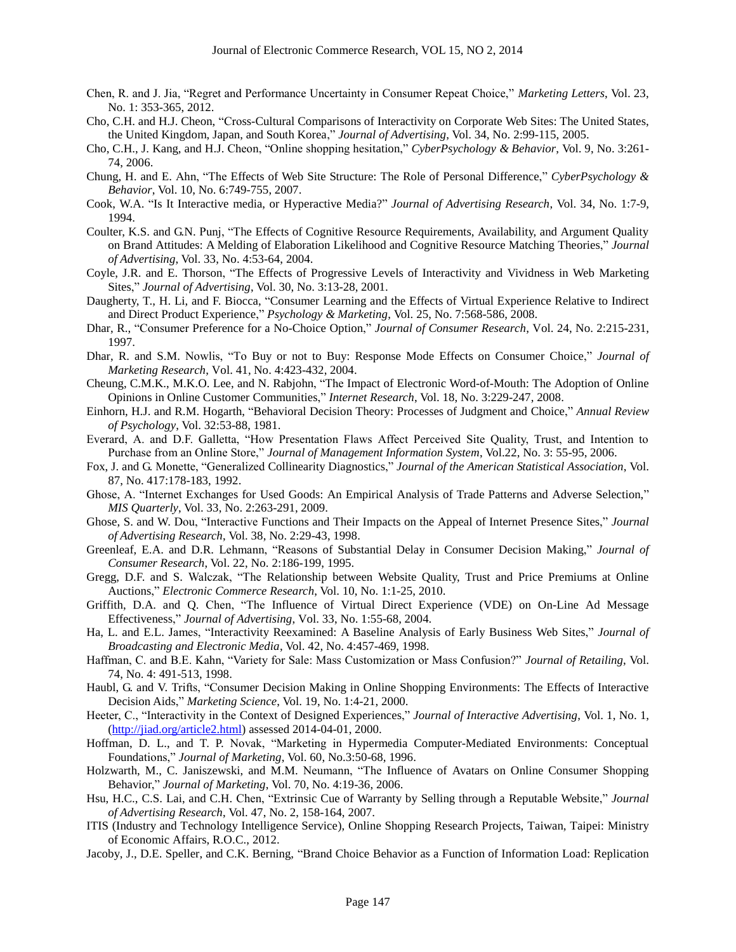- Chen, R. and J. Jia, "Regret and Performance Uncertainty in Consumer Repeat Choice," *Marketing Letters*, Vol. 23, No. 1: 353-365, 2012.
- Cho, C.H. and H.J. Cheon, "Cross-Cultural Comparisons of Interactivity on Corporate Web Sites: The United States, the United Kingdom, Japan, and South Korea," *Journal of Advertising*, Vol. 34, No. 2:99-115, 2005.
- Cho, C.H., J. Kang, and H.J. Cheon, "Online shopping hesitation," *CyberPsychology & Behavior*, Vol. 9, No. 3:261- 74, 2006.
- Chung, H. and E. Ahn, "The Effects of Web Site Structure: The Role of Personal Difference," *CyberPsychology & Behavior*, Vol. 10, No. 6:749-755, 2007.
- Cook, W.A. "Is It Interactive media, or Hyperactive Media?" *Journal of Advertising Research*, Vol. 34, No. 1:7-9, 1994.
- Coulter, K.S. and G.N. Punj, "The Effects of Cognitive Resource Requirements, Availability, and Argument Quality on Brand Attitudes: A Melding of Elaboration Likelihood and Cognitive Resource Matching Theories," *Journal of Advertising*, Vol. 33, No. 4:53-64, 2004.
- Coyle, J.R. and E. Thorson, "The Effects of Progressive Levels of Interactivity and Vividness in Web Marketing Sites," *Journal of Advertising*, Vol. 30, No. 3:13-28, 2001.
- Daugherty, T., H. Li, and F. Biocca, "Consumer Learning and the Effects of Virtual Experience Relative to Indirect and Direct Product Experience," *Psychology & Marketing*, Vol. 25, No. 7:568-586, 2008.
- Dhar, R., "Consumer Preference for a No-Choice Option," *Journal of Consumer Research*, Vol. 24, No. 2:215-231, 1997.
- Dhar, R. and S.M. Nowlis, "To Buy or not to Buy: Response Mode Effects on Consumer Choice," *Journal of Marketing Research*, Vol. 41, No. 4:423-432, 2004.
- Cheung, C.M.K., M.K.O. Lee, and N. Rabjohn, "The Impact of Electronic Word-of-Mouth: The Adoption of Online Opinions in Online Customer Communities," *Internet Research*, Vol. 18, No. 3:229-247, 2008.
- Einhorn, H.J. and R.M. Hogarth, "Behavioral Decision Theory: Processes of Judgment and Choice," *Annual Review of Psychology*, Vol. 32:53-88, 1981.
- Everard, A. and D.F. Galletta, "How Presentation Flaws Affect Perceived Site Quality, Trust, and Intention to Purchase from an Online Store," *Journal of Management Information System*, Vol.22, No. 3: 55-95, 2006.
- Fox, J. and G. Monette, "Generalized Collinearity Diagnostics," *Journal of the American Statistical Association*, Vol. 87, No. 417:178-183, 1992.
- Ghose, A. "Internet Exchanges for Used Goods: An Empirical Analysis of Trade Patterns and Adverse Selection," *MIS Quarterly*, Vol. 33, No. 2:263-291, 2009.
- Ghose, S. and W. Dou, "Interactive Functions and Their Impacts on the Appeal of Internet Presence Sites," *Journal of Advertising Research*, Vol. 38, No. 2:29-43, 1998.
- Greenleaf, E.A. and D.R. Lehmann, "Reasons of Substantial Delay in Consumer Decision Making," *Journal of Consumer Research*, Vol. 22, No. 2:186-199, 1995.
- Gregg, D.F. and S. Walczak, "The Relationship between Website Quality, Trust and Price Premiums at Online Auctions," *Electronic Commerce Research*, Vol. 10, No. 1:1-25, 2010.
- Griffith, D.A. and Q. Chen, "The Influence of Virtual Direct Experience (VDE) on On-Line Ad Message Effectiveness," *Journal of Advertising*, Vol. 33, No. 1:55-68, 2004.
- Ha, L. and E.L. James, "Interactivity Reexamined: A Baseline Analysis of Early Business Web Sites," *Journal of Broadcasting and Electronic Media*, Vol. 42, No. 4:457-469, 1998.
- Haffman, C. and B.E. Kahn, "Variety for Sale: Mass Customization or Mass Confusion?" *Journal of Retailing*, Vol. 74, No. 4: 491-513, 1998.
- Haubl, G. and V. Trifts, "Consumer Decision Making in Online Shopping Environments: The Effects of Interactive Decision Aids," *Marketing Science*, Vol. 19, No. 1:4-21, 2000.
- Heeter, C., "Interactivity in the Context of Designed Experiences," *Journal of Interactive Advertising*, Vol. 1, No. 1, [\(http://jiad.org/article2.html\)](http://jiad.org/article2.html) assessed 2014-04-01, 2000.
- Hoffman, D. L., and T. P. Novak, "Marketing in Hypermedia Computer-Mediated Environments: Conceptual Foundations," *Journal of Marketing*, Vol. 60, No.3:50-68, 1996.
- Holzwarth, M., C. Janiszewski, and M.M. Neumann, "The Influence of Avatars on Online Consumer Shopping Behavior," *Journal of Marketing*, Vol. 70, No. 4:19-36, 2006.
- Hsu, H.C., C.S. Lai, and C.H. Chen, "Extrinsic Cue of Warranty by Selling through a Reputable Website," *Journal of Advertising Research*, Vol. 47, No. 2, 158-164, 2007.
- ITIS (Industry and Technology Intelligence Service), Online Shopping Research Projects, Taiwan, Taipei: Ministry of Economic Affairs, R.O.C., 2012.
- Jacoby, J., D.E. Speller, and C.K. Berning, "Brand Choice Behavior as a Function of Information Load: Replication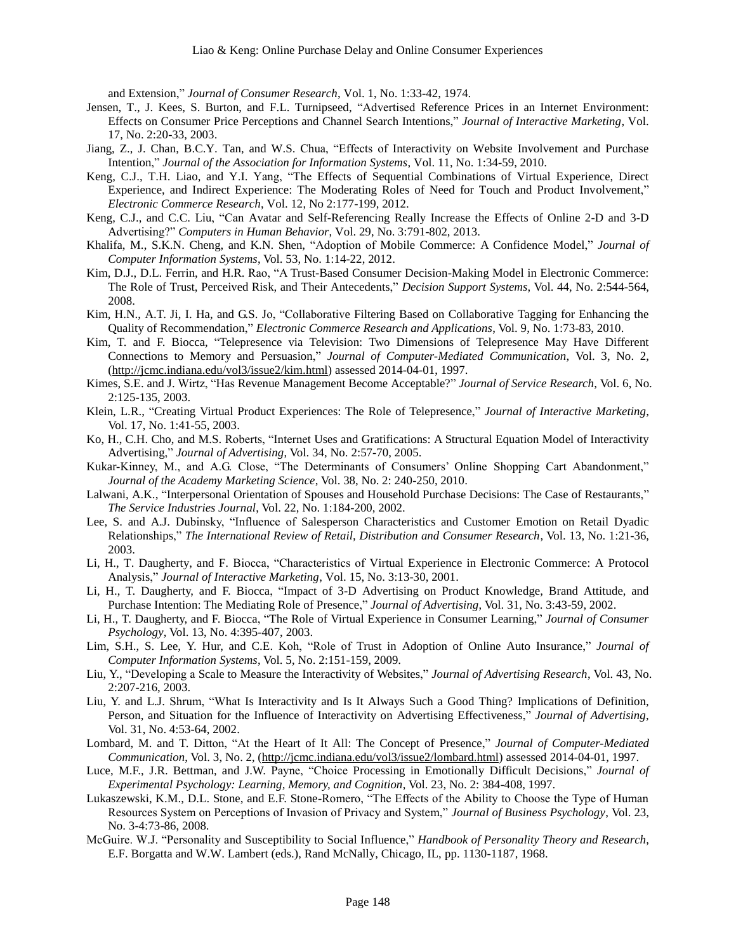and Extension," *Journal of Consumer Research*, Vol. 1, No. 1:33-42, 1974.

- Jensen, T., J. Kees, S. Burton, and F.L. Turnipseed, "Advertised Reference Prices in an Internet Environment: Effects on Consumer Price Perceptions and Channel Search Intentions," *Journal of Interactive Marketing*, Vol. 17, No. 2:20-33, 2003.
- Jiang, Z., J. Chan, B.C.Y. Tan, and W.S. Chua, "Effects of Interactivity on Website Involvement and Purchase Intention," *Journal of the Association for Information Systems*, Vol. 11, No. 1:34-59, 2010.
- Keng, C.J., T.H. Liao, and Y.I. Yang, "The Effects of Sequential Combinations of Virtual Experience, Direct Experience, and Indirect Experience: The Moderating Roles of Need for Touch and Product Involvement," *Electronic Commerce Research*, Vol. 12, No 2:177-199, 2012.
- Keng, C.J., and C.C. Liu, "Can Avatar and Self-Referencing Really Increase the Effects of Online 2-D and 3-D Advertising?" *Computers in Human Behavior*, Vol. 29, No. 3:791-802, 2013.
- Khalifa, M., S.K.N. Cheng, and K.N. Shen, "Adoption of Mobile Commerce: A Confidence Model," *Journal of Computer Information Systems*, Vol. 53, No. 1:14-22, 2012.
- Kim, D.J., D.L. Ferrin, and H.R. Rao, "A Trust-Based Consumer Decision-Making Model in Electronic Commerce: The Role of Trust, Perceived Risk, and Their Antecedents," *Decision Support Systems*, Vol. 44, No. 2:544-564, 2008.
- Kim, H.N., A.T. Ji, I. Ha, and G.S. Jo, "Collaborative Filtering Based on Collaborative Tagging for Enhancing the Quality of Recommendation," *Electronic Commerce Research and Applications*, Vol. 9, No. 1:73-83, 2010.
- Kim, T. and F. Biocca, "Telepresence via Television: Two Dimensions of Telepresence May Have Different Connections to Memory and Persuasion," *Journal of Computer-Mediated Communication*, Vol. 3, No. 2, [\(http://jcmc.indiana.edu/vol3/issue2/kim.html\)](http://jcmc.indiana.edu/vol3/issue2/kim.html) assessed 2014-04-01, 1997.
- Kimes, S.E. and J. Wirtz, "Has Revenue Management Become Acceptable?" *Journal of Service Research*, Vol. 6, No. 2:125-135, 2003.
- Klein, L.R., "Creating Virtual Product Experiences: The Role of Telepresence," *Journal of Interactive Marketing*, Vol. 17, No. 1:41-55, 2003.
- Ko, H., C.H. Cho, and M.S. Roberts, "Internet Uses and Gratifications: A Structural Equation Model of Interactivity Advertising," *Journal of Advertising*, Vol. 34, No. 2:57-70, 2005.
- Kukar-Kinney, M., and A.G. Close, "The Determinants of Consumers' Online Shopping Cart Abandonment," *Journal of the Academy Marketing Science*, Vol. 38, No. 2: 240-250, 2010.
- Lalwani, A.K., "Interpersonal Orientation of Spouses and Household Purchase Decisions: The Case of Restaurants," *The Service Industries Journal*, Vol. 22, No. 1:184-200, 2002.
- Lee, S. and A.J. Dubinsky, "Influence of Salesperson Characteristics and Customer Emotion on Retail Dyadic Relationships," *The International Review of Retail, Distribution and Consumer Research*, Vol. 13, No. 1:21-36, 2003.
- Li, H., T. Daugherty, and F. Biocca, "Characteristics of Virtual Experience in Electronic Commerce: A Protocol Analysis," *Journal of Interactive Marketing*, Vol. 15, No. 3:13-30, 2001.
- Li, H., T. Daugherty, and F. Biocca, "Impact of 3-D Advertising on Product Knowledge, Brand Attitude, and Purchase Intention: The Mediating Role of Presence," *Journal of Advertising*, Vol. 31, No. 3:43-59, 2002.
- Li, H., T. Daugherty, and F. Biocca, "The Role of Virtual Experience in Consumer Learning," *Journal of Consumer Psychology*, Vol. 13, No. 4:395-407, 2003.
- Lim, S.H., S. Lee, Y. Hur, and C.E. Koh, "Role of Trust in Adoption of Online Auto Insurance," *Journal of Computer Information Systems*, Vol. 5, No. 2:151-159, 2009.
- Liu, Y., "Developing a Scale to Measure the Interactivity of Websites," *Journal of Advertising Research*, Vol. 43, No. 2:207-216, 2003.
- Liu, Y. and L.J. Shrum, "What Is Interactivity and Is It Always Such a Good Thing? Implications of Definition, Person, and Situation for the Influence of Interactivity on Advertising Effectiveness," *Journal of Advertising*, Vol. 31, No. 4:53-64, 2002.
- Lombard, M. and T. Ditton, "At the Heart of It All: The Concept of Presence," *Journal of Computer-Mediated Communication*, Vol. 3, No. 2, [\(http://jcmc.indiana.edu/vol3/issue2/lombard.html\)](http://jcmc.indiana.edu/vol3/issue2/lombard.html) assessed 2014-04-01, 1997.
- Luce, M.F., J.R. Bettman, and J.W. Payne, "Choice Processing in Emotionally Difficult Decisions," *Journal of Experimental Psychology: Learning, Memory, and Cognition*, Vol. 23, No. 2: 384-408, 1997.
- Lukaszewski, K.M., D.L. Stone, and E.F. Stone-Romero, "The Effects of the Ability to Choose the Type of Human Resources System on Perceptions of Invasion of Privacy and System," *Journal of Business Psychology*, Vol. 23, No. 3-4:73-86, 2008.
- McGuire. W.J. "Personality and Susceptibility to Social Influence," *Handbook of Personality Theory and Research*, E.F. Borgatta and W.W. Lambert (eds.), Rand McNally, Chicago, IL, pp. 1130-1187, 1968.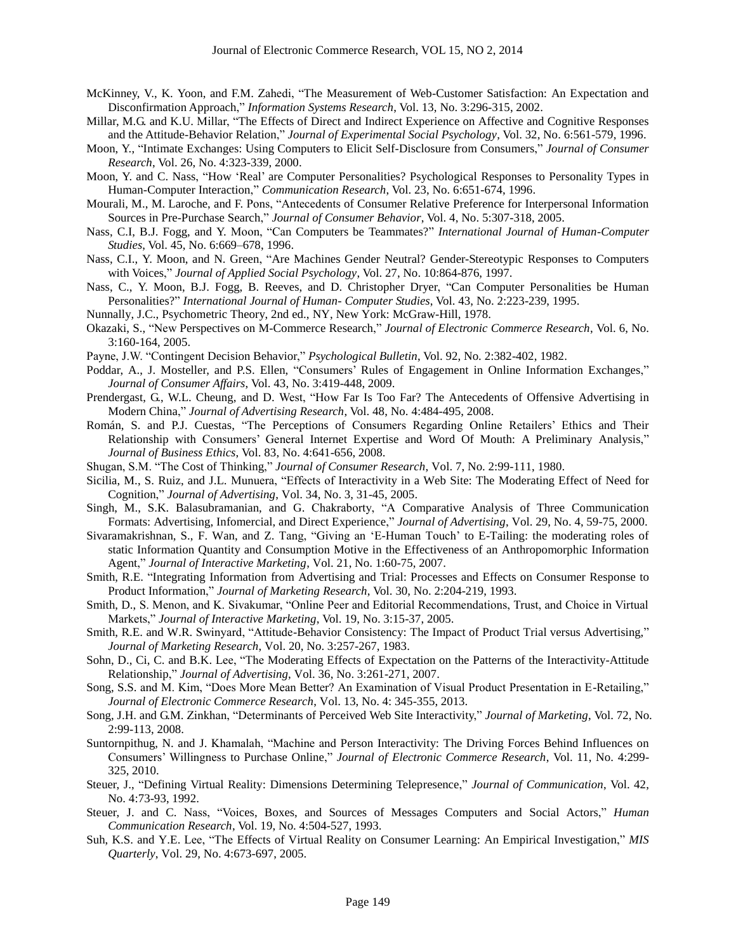- McKinney, V., K. Yoon, and F.M. Zahedi, "The Measurement of Web-Customer Satisfaction: An Expectation and Disconfirmation Approach," *Information Systems Research*, Vol. 13, No. 3:296-315, 2002.
- Millar, M.G. and K.U. Millar, "The Effects of Direct and Indirect Experience on Affective and Cognitive Responses and the Attitude-Behavior Relation," *Journal of Experimental Social Psychology*, Vol. 32, No. 6:561-579, 1996.
- Moon, Y., "Intimate Exchanges: Using Computers to Elicit Self-Disclosure from Consumers," *Journal of Consumer Research*, Vol. 26, No. 4:323-339, 2000.
- Moon, Y. and C. Nass, "How 'Real' are Computer Personalities? Psychological Responses to Personality Types in Human-Computer Interaction," *Communication Research*, Vol. 23, No. 6:651-674, 1996.
- Mourali, M., M. Laroche, and F. Pons, "Antecedents of Consumer Relative Preference for Interpersonal Information Sources in Pre-Purchase Search," *Journal of Consumer Behavior*, Vol. 4, No. 5:307-318, 2005.
- Nass, C.I, B.J. Fogg, and Y. Moon, "Can Computers be Teammates?" *International Journal of Human-Computer Studies*, Vol. 45, No. 6:669–678, 1996.
- Nass, C.I., Y. Moon, and N. Green, "Are Machines Gender Neutral? Gender-Stereotypic Responses to Computers with Voices," *Journal of Applied Social Psychology*, Vol. 27, No. 10:864-876, 1997.
- Nass, C., Y. Moon, B.J. Fogg, B. Reeves, and D. Christopher Dryer, "Can Computer Personalities be Human Personalities?" *International Journal of Human- Computer Studies*, Vol. 43, No. 2:223-239, 1995.
- Nunnally, J.C., Psychometric Theory, 2nd ed., NY, New York: McGraw-Hill, 1978.
- Okazaki, S., "New Perspectives on M-Commerce Research," *Journal of Electronic Commerce Research*, Vol. 6, No. 3:160-164, 2005.
- Payne, J.W. "Contingent Decision Behavior," *Psychological Bulletin*, Vol. 92, No. 2:382-402, 1982.
- Poddar, A., J. Mosteller, and P.S. Ellen, "Consumers' Rules of Engagement in Online Information Exchanges," *Journal of Consumer Affairs*, Vol. 43, No. 3:419-448, 2009.
- Prendergast, G., W.L. Cheung, and D. West, "How Far Is Too Far? The Antecedents of Offensive Advertising in Modern China," *Journal of Advertising Research*, Vol. 48, No. 4:484-495, 2008.
- Román, S. and P.J. Cuestas, "The Perceptions of Consumers Regarding Online Retailers' Ethics and Their Relationship with Consumers' General Internet Expertise and Word Of Mouth: A Preliminary Analysis," *Journal of Business Ethics*, Vol. 83, No. 4:641-656, 2008.
- Shugan, S.M. "The Cost of Thinking," *Journal of Consumer Research*, Vol. 7, No. 2:99-111, 1980.
- Sicilia, M., S. Ruiz, and J.L. Munuera, "Effects of Interactivity in a Web Site: The Moderating Effect of Need for Cognition," *Journal of Advertising*, Vol. 34, No. 3, 31-45, 2005.
- Singh, M., S.K. Balasubramanian, and G. Chakraborty, "A Comparative Analysis of Three Communication Formats: Advertising, Infomercial, and Direct Experience," *Journal of Advertising*, Vol. 29, No. 4, 59-75, 2000.
- Sivaramakrishnan, S., F. Wan, and Z. Tang, "Giving an 'E-Human Touch' to E-Tailing: the moderating roles of static Information Quantity and Consumption Motive in the Effectiveness of an Anthropomorphic Information Agent," *Journal of Interactive Marketing*, Vol. 21, No. 1:60-75, 2007.
- Smith, R.E. "Integrating Information from Advertising and Trial: Processes and Effects on Consumer Response to Product Information," *Journal of Marketing Research*, Vol. 30, No. 2:204-219, 1993.
- Smith, D., S. Menon, and K. Sivakumar, "Online Peer and Editorial Recommendations, Trust, and Choice in Virtual Markets," *Journal of Interactive Marketing*, Vol. 19, No. 3:15-37, 2005.
- Smith, R.E. and W.R. Swinyard, "Attitude-Behavior Consistency: The Impact of Product Trial versus Advertising," *Journal of Marketing Research*, Vol. 20, No. 3:257-267, 1983.
- Sohn, D., Ci, C. and B.K. Lee, "The Moderating Effects of Expectation on the Patterns of the Interactivity-Attitude Relationship," *Journal of Advertising*, Vol. 36, No. 3:261-271, 2007.
- Song, S.S. and M. Kim, "Does More Mean Better? An Examination of Visual Product Presentation in E-Retailing," *Journal of Electronic Commerce Research*, Vol. 13, No. 4: 345-355, 2013.
- Song, J.H. and G.M. Zinkhan, "Determinants of Perceived Web Site Interactivity," *Journal of Marketing*, Vol. 72, No. 2:99-113, 2008.
- Suntornpithug, N. and J. Khamalah, "Machine and Person Interactivity: The Driving Forces Behind Influences on Consumers' Willingness to Purchase Online," *Journal of Electronic Commerce Research*, Vol. 11, No. 4:299- 325, 2010.
- Steuer, J., "Defining Virtual Reality: Dimensions Determining Telepresence," *Journal of Communication*, Vol. 42, No. 4:73-93, 1992.
- Steuer, J. and C. Nass, "Voices, Boxes, and Sources of Messages Computers and Social Actors," *Human Communication Research*, Vol. 19, No. 4:504-527, 1993.
- Suh, K.S. and Y.E. Lee, "The Effects of Virtual Reality on Consumer Learning: An Empirical Investigation," *MIS Quarterly*, Vol. 29, No. 4:673-697, 2005.